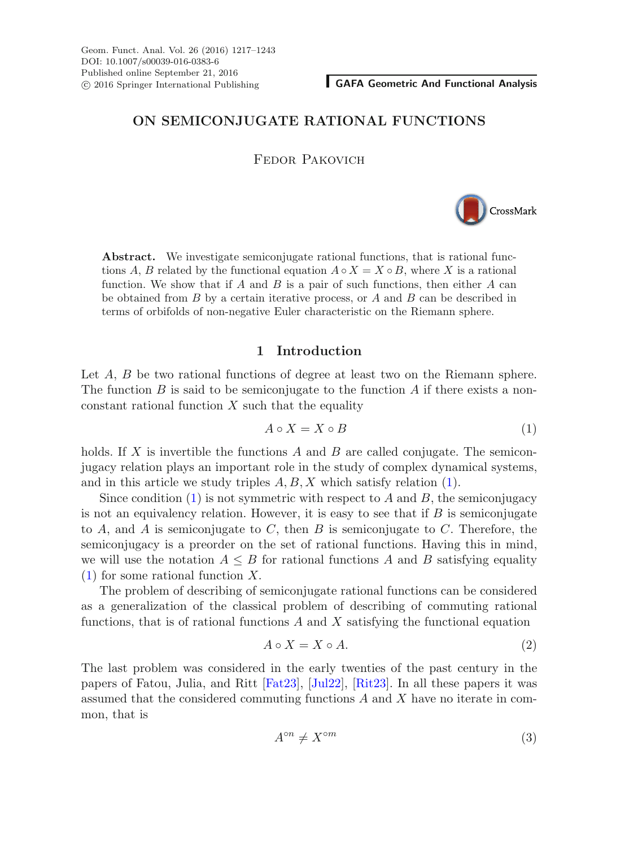# **ON SEMICONJUGATE RATIONAL FUNCTIONS**

Fedor Pakovich



**Abstract.** We investigate semiconjugate rational functions, that is rational functions A, B related by the functional equation  $A \circ X = X \circ B$ , where X is a rational function. We show that if A and B is a pair of such functions, then either A can be obtained from  $B$  by a certain iterative process, or  $A$  and  $B$  can be described in terms of orbifolds of non-negative Euler characteristic on the Riemann sphere.

### **1 Introduction**

Let A, B be two rational functions of degree at least two on the Riemann sphere. The function B is said to be semiconjugate to the function A if there exists a nonconstant rational function  $X$  such that the equality

<span id="page-0-0"></span>
$$
A \circ X = X \circ B \tag{1}
$$

holds. If X is invertible the functions A and B are called conjugate. The semiconjugacy relation plays an important role in the study of complex dynamical systems, and in this article we study triples  $A, B, X$  which satisfy relation [\(1\)](#page-0-0).

Since condition  $(1)$  is not symmetric with respect to A and B, the semiconjugacy is not an equivalency relation. However, it is easy to see that if  $B$  is semiconjugate to A, and A is semiconjugate to C, then B is semiconjugate to C. Therefore, the semiconjugacy is a preorder on the set of rational functions. Having this in mind, we will use the notation  $A \leq B$  for rational functions A and B satisfying equality [\(1\)](#page-0-0) for some rational function X.

The problem of describing of semiconjugate rational functions can be considered as a generalization of the classical problem of describing of commuting rational functions, that is of rational functions  $A$  and  $X$  satisfying the functional equation

<span id="page-0-1"></span>
$$
A \circ X = X \circ A. \tag{2}
$$

The last problem was considered in the early twenties of the past century in the papers of Fatou, Julia, and Ritt [\[Fat23](#page-25-0)], [\[Jul22\]](#page-25-1), [\[Rit23\]](#page-26-0). In all these papers it was assumed that the considered commuting functions A and X have no iterate in common, that is

$$
A^{\circ n} \neq X^{\circ m} \tag{3}
$$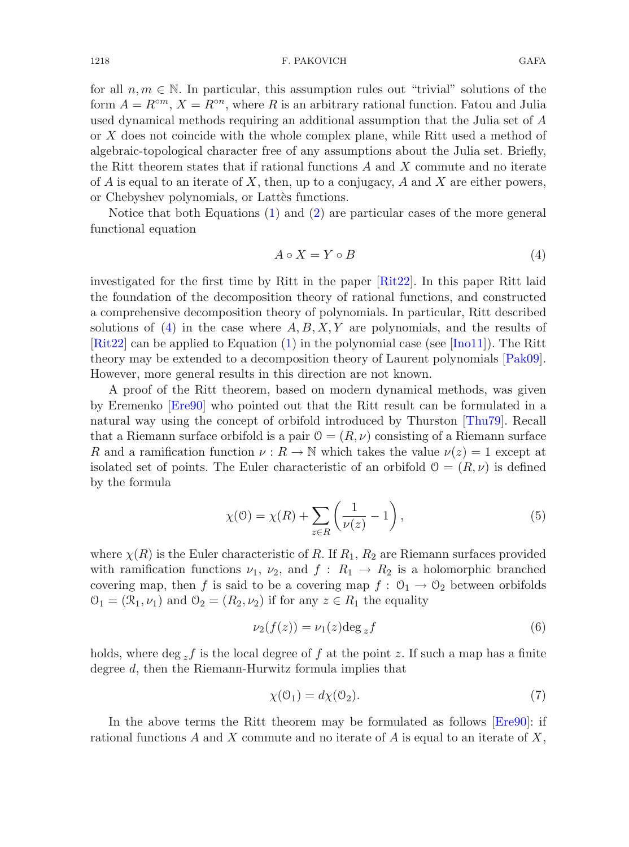for all  $n, m \in \mathbb{N}$ . In particular, this assumption rules out "trivial" solutions of the form  $A = R^{\circ m}$ ,  $X = R^{\circ n}$ , where R is an arbitrary rational function. Fatou and Julia used dynamical methods requiring an additional assumption that the Julia set of A or X does not coincide with the whole complex plane, while Ritt used a method of algebraic-topological character free of any assumptions about the Julia set. Briefly, the Ritt theorem states that if rational functions A and X commute and no iterate of A is equal to an iterate of X, then, up to a conjugacy, A and X are either powers, or Chebyshev polynomials, or Lattes functions.

Notice that both Equations [\(1\)](#page-0-0) and [\(2\)](#page-0-1) are particular cases of the more general functional equation

<span id="page-1-0"></span>
$$
A \circ X = Y \circ B \tag{4}
$$

investigated for the first time by Ritt in the paper [\[Rit22\]](#page-26-1). In this paper Ritt laid the foundation of the decomposition theory of rational functions, and constructed a comprehensive decomposition theory of polynomials. In particular, Ritt described solutions of [\(4\)](#page-1-0) in the case where  $A, B, X, Y$  are polynomials, and the results of [\[Rit22\]](#page-26-1) can be applied to Equation [\(1\)](#page-0-0) in the polynomial case (see [\[Ino11\]](#page-26-2)). The Ritt theory may be extended to a decomposition theory of Laurent polynomials [\[Pak09](#page-26-3)]. However, more general results in this direction are not known.

A proof of the Ritt theorem, based on modern dynamical methods, was given by Eremenko [\[Ere90](#page-25-2)] who pointed out that the Ritt result can be formulated in a natural way using the concept of orbifold introduced by Thurston [\[Thu79\]](#page-26-4). Recall that a Riemann surface orbifold is a pair  $\mathcal{O} = (R, \nu)$  consisting of a Riemann surface R and a ramification function  $\nu : R \to \mathbb{N}$  which takes the value  $\nu(z) = 1$  except at isolated set of points. The Euler characteristic of an orbifold  $\mathcal{O} = (R, \nu)$  is defined by the formula

$$
\chi(\mathbf{0}) = \chi(R) + \sum_{z \in R} \left( \frac{1}{\nu(z)} - 1 \right),\tag{5}
$$

<span id="page-1-1"></span>where  $\chi(R)$  is the Euler characteristic of R. If  $R_1, R_2$  are Riemann surfaces provided with ramification functions  $\nu_1$ ,  $\nu_2$ , and  $f: R_1 \to R_2$  is a holomorphic branched covering map, then f is said to be a covering map  $f: \mathcal{O}_1 \to \mathcal{O}_2$  between orbifolds  $\mathcal{O}_1 = (\mathcal{R}_1, \nu_1)$  and  $\mathcal{O}_2 = (R_2, \nu_2)$  if for any  $z \in R_1$  the equality

<span id="page-1-3"></span>
$$
\nu_2(f(z)) = \nu_1(z) \deg_z f \tag{6}
$$

holds, where deg  $_{z}f$  is the local degree of f at the point z. If such a map has a finite degree d, then the Riemann-Hurwitz formula implies that

<span id="page-1-2"></span>
$$
\chi(\mathcal{O}_1) = d\chi(\mathcal{O}_2). \tag{7}
$$

In the above terms the Ritt theorem may be formulated as follows [\[Ere90](#page-25-2)]: if rational functions A and X commute and no iterate of A is equal to an iterate of  $X$ ,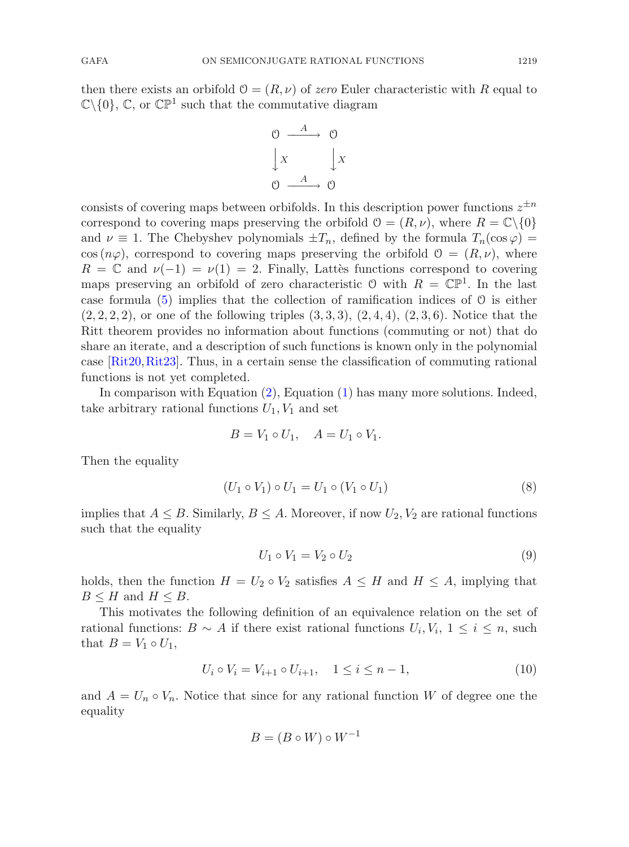then there exists an orbifold  $\mathcal{O} = (R, \nu)$  of *zero* Euler characteristic with R equal to  $\mathbb{C}\backslash\{0\}$ ,  $\mathbb{C}$ , or  $\mathbb{CP}^1$  such that the commutative diagram

$$
\begin{array}{ccc}\n0 & \xrightarrow{A} & 0 \\
\downarrow x & \downarrow x \\
0 & \xrightarrow{A} & 0\n\end{array}
$$

consists of covering maps between orbifolds. In this description power functions  $z^{\pm n}$ correspond to covering maps preserving the orbifold  $\mathcal{O} = (R, \nu)$ , where  $R = \mathbb{C} \setminus \{0\}$ and  $\nu \equiv 1$ . The Chebyshev polynomials  $\pm T_n$ , defined by the formula  $T_n(\cos \varphi) =$  $\cos (n\varphi)$ , correspond to covering maps preserving the orbifold  $\mathcal{O} = (R, \nu)$ , where  $R = \mathbb{C}$  and  $\nu(-1) = \nu(1) = 2$ . Finally, Lattès functions correspond to covering maps preserving an orbifold of zero characteristic  $\mathcal{O}$  with  $R = \mathbb{CP}^1$ . In the last case formula  $(5)$  implies that the collection of ramification indices of  $\theta$  is either  $(2, 2, 2, 2)$ , or one of the following triples  $(3, 3, 3), (2, 4, 4), (2, 3, 6)$ . Notice that the Ritt theorem provides no information about functions (commuting or not) that do share an iterate, and a description of such functions is known only in the polynomial case [\[Rit20,](#page-26-5)[Rit23](#page-26-0)]. Thus, in a certain sense the classification of commuting rational functions is not yet completed.

In comparison with Equation [\(2\)](#page-0-1), Equation [\(1\)](#page-0-0) has many more solutions. Indeed, take arbitrary rational functions  $U_1, V_1$  and set

$$
B = V_1 \circ U_1, \quad A = U_1 \circ V_1.
$$

Then the equality

$$
(U_1 \circ V_1) \circ U_1 = U_1 \circ (V_1 \circ U_1)
$$
\n(8)

implies that  $A \leq B$ . Similarly,  $B \leq A$ . Moreover, if now  $U_2, V_2$  are rational functions such that the equality

$$
U_1 \circ V_1 = V_2 \circ U_2 \tag{9}
$$

holds, then the function  $H = U_2 \circ V_2$  satisfies  $A \leq H$  and  $H \leq A$ , implying that  $B \leq H$  and  $H \leq B$ .

This motivates the following definition of an equivalence relation on the set of rational functions:  $B \sim A$  if there exist rational functions  $U_i, V_i, 1 \leq i \leq n$ , such that  $B = V_1 \circ U_1$ ,

$$
U_i \circ V_i = V_{i+1} \circ U_{i+1}, \quad 1 \le i \le n-1,
$$
\n(10)

<span id="page-2-0"></span>and  $A = U_n \circ V_n$ . Notice that since for any rational function W of degree one the equality

$$
B = (B \circ W) \circ W^{-1}
$$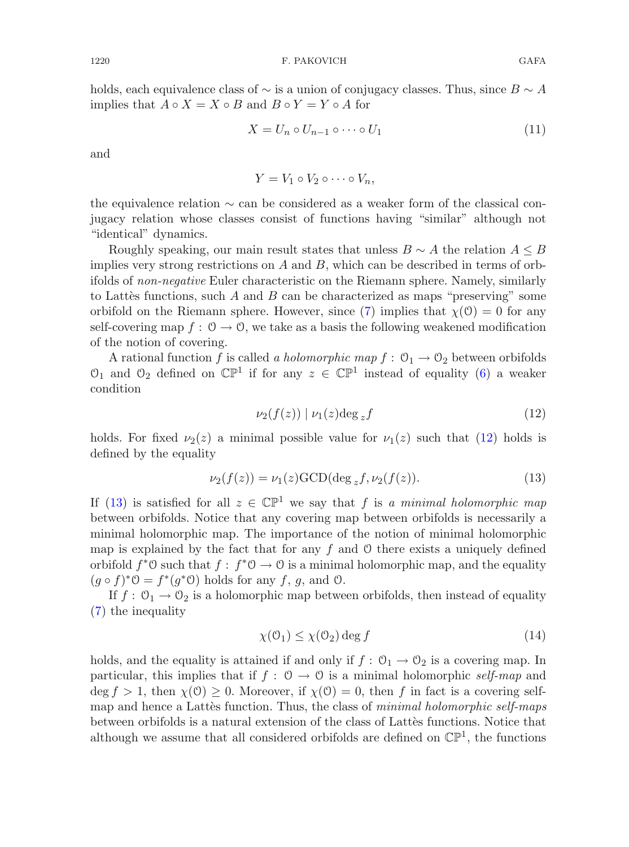holds, each equivalence class of  $\sim$  is a union of conjugacy classes. Thus, since  $B \sim A$ implies that  $A \circ X = X \circ B$  and  $B \circ Y = Y \circ A$  for

$$
X = U_n \circ U_{n-1} \circ \cdots \circ U_1 \tag{11}
$$

<span id="page-3-2"></span>and

$$
Y=V_1\circ V_2\circ\cdots\circ V_n,
$$

the equivalence relation ∼ can be considered as a weaker form of the classical conjugacy relation whose classes consist of functions having "similar" although not "identical" dynamics.

Roughly speaking, our main result states that unless  $B \sim A$  the relation  $A \leq B$ implies very strong restrictions on  $A$  and  $B$ , which can be described in terms of orbifolds of *non-negative* Euler characteristic on the Riemann sphere. Namely, similarly to Lattès functions, such A and B can be characterized as maps "preserving" some orbifold on the Riemann sphere. However, since [\(7\)](#page-1-2) implies that  $\chi(0) = 0$  for any self-covering map  $f: \mathcal{O} \to \mathcal{O}$ , we take as a basis the following weakened modification of the notion of covering.

A rational function f is called *a holomorphic map*  $f: \mathcal{O}_1 \to \mathcal{O}_2$  between orbifolds  $\mathfrak{O}_1$  and  $\mathfrak{O}_2$  defined on  $\mathbb{CP}^1$  if for any  $z \in \mathbb{CP}^1$  instead of equality [\(6\)](#page-1-3) a weaker condition

$$
\nu_2(f(z)) \mid \nu_1(z) \deg_z f \tag{12}
$$

holds. For fixed  $\nu_2(z)$  a minimal possible value for  $\nu_1(z)$  such that [\(12\)](#page-3-0) holds is defined by the equality

<span id="page-3-0"></span>
$$
\nu_2(f(z)) = \nu_1(z) \text{GCD}(\deg_z f, \nu_2(f(z)). \tag{13}
$$

<span id="page-3-1"></span>If [\(13\)](#page-3-1) is satisfied for all  $z \in \mathbb{CP}^1$  we say that f is a minimal holomorphic map between orbifolds. Notice that any covering map between orbifolds is necessarily a minimal holomorphic map. The importance of the notion of minimal holomorphic map is explained by the fact that for any f and  $\theta$  there exists a uniquely defined orbifold  $f^*0$  such that  $f : f^*0 \to 0$  is a minimal holomorphic map, and the equality  $(g \circ f)^* \mathcal{O} = f^*(g^* \mathcal{O})$  holds for any f, g, and  $\mathcal{O}$ .

If  $f: \mathcal{O}_1 \to \mathcal{O}_2$  is a holomorphic map between orbifolds, then instead of equality [\(7\)](#page-1-2) the inequality

$$
\chi(\mathcal{O}_1) \le \chi(\mathcal{O}_2) \deg f \tag{14}
$$

holds, and the equality is attained if and only if  $f: \mathcal{O}_1 \to \mathcal{O}_2$  is a covering map. In particular, this implies that if  $f : \mathcal{O} \to \mathcal{O}$  is a minimal holomorphic *self-map* and  $\deg f > 1$ , then  $\chi(0) \geq 0$ . Moreover, if  $\chi(0) = 0$ , then f in fact is a covering selfmap and hence a Lattes function. Thus, the class of *minimal holomorphic self-maps* between orbifolds is a natural extension of the class of Lattès functions. Notice that although we assume that all considered orbifolds are defined on  $\mathbb{CP}^1$ , the functions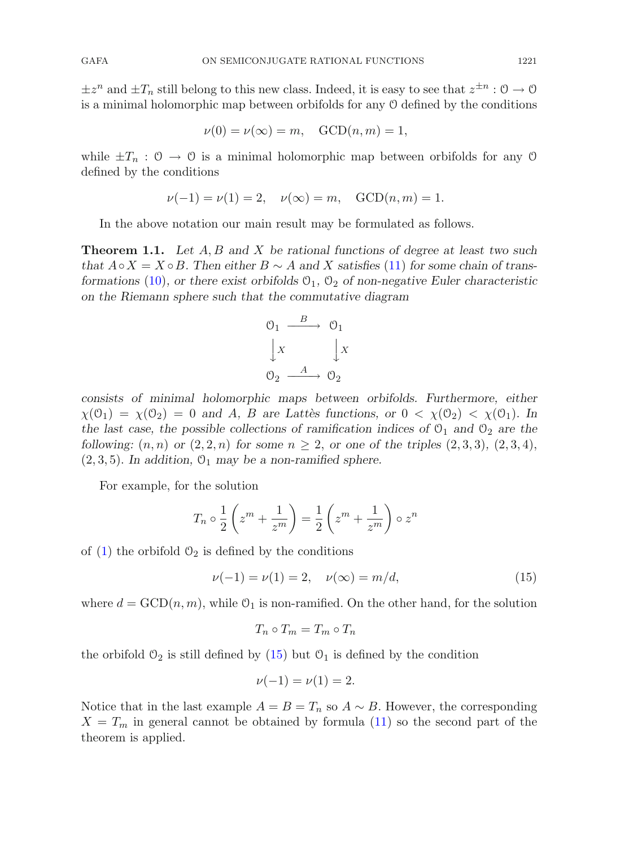$\pm z^n$  and  $\pm T_n$  still belong to this new class. Indeed, it is easy to see that  $z^{\pm n}$  :  $0 \to 0$ is a minimal holomorphic map between orbifolds for any O defined by the conditions

$$
\nu(0) = \nu(\infty) = m, \quad \text{GCD}(n, m) = 1,
$$

while  $\pm T_n$ :  $0 \rightarrow 0$  is a minimal holomorphic map between orbifolds for any 0 defined by the conditions

$$
\nu(-1) = \nu(1) = 2
$$
,  $\nu(\infty) = m$ , GCD $(n, m) = 1$ .

In the above notation our main result may be formulated as follows.

<span id="page-4-1"></span>**Theorem 1.1.** *Let* A, B *and* X *be rational functions of degree at least two such that*  $A \circ X = X \circ B$ . Then either  $B \sim A$  and X satisfies [\(11\)](#page-3-2) for some chain of trans*formations* [\(10\)](#page-2-0), or there exist orbifolds  $\mathcal{O}_1$ ,  $\mathcal{O}_2$  of non-negative Euler characteristic *on the Riemann sphere such that the commutative diagram*



*consists of minimal holomorphic maps between orbifolds. Furthermore, either*  $\chi(\mathcal{O}_1) = \chi(\mathcal{O}_2) = 0$  and A, B are Lattes functions, or  $0 < \chi(\mathcal{O}_2) < \chi(\mathcal{O}_1)$ . In *the last case, the possible collections of ramification indices of*  $\mathcal{O}_1$  *and*  $\mathcal{O}_2$  *are the following:*  $(n, n)$  *or*  $(2, 2, n)$  *for some*  $n \ge 2$ , *or one of the triples*  $(2, 3, 3)$ ,  $(2, 3, 4)$ ,  $(2, 3, 5)$ . In addition,  $\mathcal{O}_1$  may be a non-ramified sphere.

For example, for the solution

$$
T_n \circ \frac{1}{2} \left( z^m + \frac{1}{z^m} \right) = \frac{1}{2} \left( z^m + \frac{1}{z^m} \right) \circ z^n
$$

<span id="page-4-0"></span>of [\(1\)](#page-0-0) the orbifold  $\mathcal{O}_2$  is defined by the conditions

$$
\nu(-1) = \nu(1) = 2, \quad \nu(\infty) = m/d,
$$
\n(15)

where  $d = GCD(n, m)$ , while  $\mathcal{O}_1$  is non-ramified. On the other hand, for the solution

$$
T_n \circ T_m = T_m \circ T_n
$$

the orbifold  $\mathcal{O}_2$  is still defined by [\(15\)](#page-4-0) but  $\mathcal{O}_1$  is defined by the condition

$$
\nu(-1) = \nu(1) = 2.
$$

Notice that in the last example  $A = B = T_n$  so  $A \sim B$ . However, the corresponding  $X = T_m$  in general cannot be obtained by formula [\(11\)](#page-3-2) so the second part of the theorem is applied.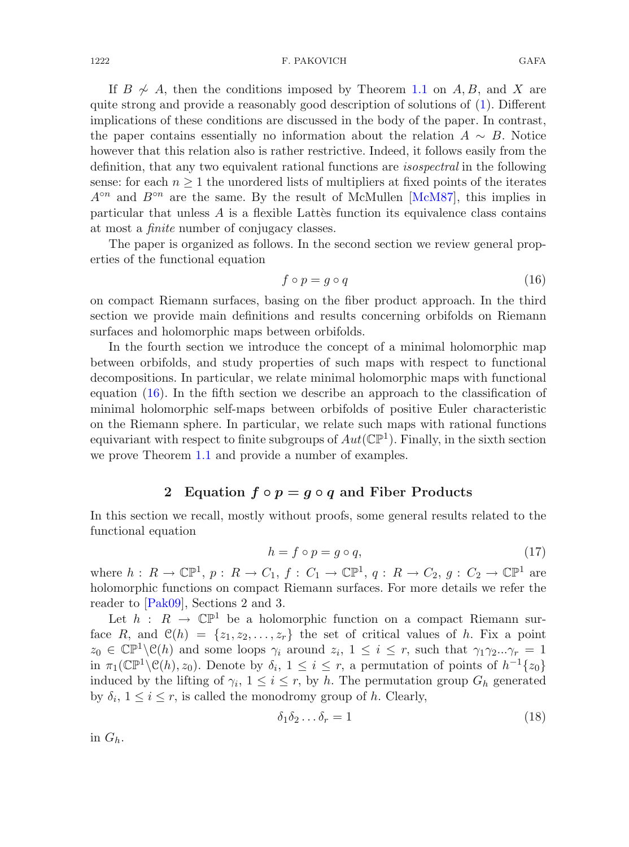If  $B \not\sim A$ , then the conditions imposed by Theorem [1.1](#page-4-1) on A, B, and X are quite strong and provide a reasonably good description of solutions of [\(1\)](#page-0-0). Different implications of these conditions are discussed in the body of the paper. In contrast, the paper contains essentially no information about the relation  $A \sim B$ . Notice however that this relation also is rather restrictive. Indeed, it follows easily from the definition, that any two equivalent rational functions are *isospectral* in the following sense: for each  $n \geq 1$  the unordered lists of multipliers at fixed points of the iterates  $A^{\circ n}$  and  $B^{\circ n}$  are the same. By the result of McMullen [\[McM87](#page-26-6)], this implies in particular that unless  $A$  is a flexible Latter function its equivalence class contains at most a *finite* number of conjugacy classes.

The paper is organized as follows. In the second section we review general properties of the functional equation

<span id="page-5-0"></span>
$$
f \circ p = g \circ q \tag{16}
$$

on compact Riemann surfaces, basing on the fiber product approach. In the third section we provide main definitions and results concerning orbifolds on Riemann surfaces and holomorphic maps between orbifolds.

In the fourth section we introduce the concept of a minimal holomorphic map between orbifolds, and study properties of such maps with respect to functional decompositions. In particular, we relate minimal holomorphic maps with functional equation [\(16\)](#page-5-0). In the fifth section we describe an approach to the classification of minimal holomorphic self-maps between orbifolds of positive Euler characteristic on the Riemann sphere. In particular, we relate such maps with rational functions equivariant with respect to finite subgroups of  $Aut(\mathbb{CP}^1)$ . Finally, in the sixth section we prove Theorem [1.1](#page-4-1) and provide a number of examples.

# <span id="page-5-1"></span>**2** Equation  $f \circ p = g \circ q$  and Fiber Products

In this section we recall, mostly without proofs, some general results related to the functional equation

$$
h = f \circ p = g \circ q,\tag{17}
$$

where  $h: R \to \mathbb{CP}^1$ ,  $p: R \to C_1$ ,  $f: C_1 \to \mathbb{CP}^1$ ,  $q: R \to C_2$ ,  $g: C_2 \to \mathbb{CP}^1$  are holomorphic functions on compact Riemann surfaces. For more details we refer the reader to [\[Pak09\]](#page-26-3), Sections 2 and 3.

Let  $h : R \to \mathbb{C}P^1$  be a holomorphic function on a compact Riemann surface R, and  $\mathcal{C}(h) = \{z_1, z_2, \ldots, z_r\}$  the set of critical values of h. Fix a point  $z_0 \in \mathbb{CP}^1 \backslash \mathcal{C}(h)$  and some loops  $\gamma_i$  around  $z_i$ ,  $1 \leq i \leq r$ , such that  $\gamma_1 \gamma_2...\gamma_r = 1$ in  $\pi_1(\mathbb{CP}^1\backslash \mathcal{C}(h), z_0)$ . Denote by  $\delta_i$ ,  $1 \leq i \leq r$ , a permutation of points of  $h^{-1}\{z_0\}$ induced by the lifting of  $\gamma_i$ ,  $1 \leq i \leq r$ , by h. The permutation group  $G_h$  generated by  $\delta_i$ ,  $1 \leq i \leq r$ , is called the monodromy group of h. Clearly,

<span id="page-5-2"></span>
$$
\delta_1 \delta_2 \dots \delta_r = 1 \tag{18}
$$

in  $G_h$ .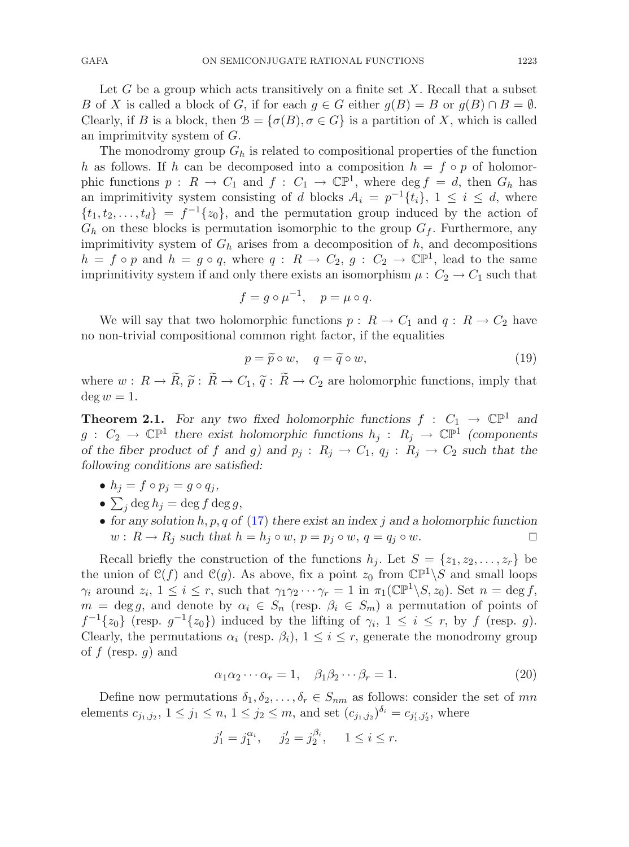Let G be a group which acts transitively on a finite set X. Recall that a subset B of X is called a block of G, if for each  $g \in G$  either  $g(B) = B$  or  $g(B) \cap B = \emptyset$ . Clearly, if B is a block, then  $\mathcal{B} = {\sigma(B), \sigma \in G}$  is a partition of X, which is called an imprimitvity system of G.

The monodromy group  $G_h$  is related to compositional properties of the function h as follows. If h can be decomposed into a composition  $h = f \circ p$  of holomorphic functions  $p : R \to C_1$  and  $f : C_1 \to \mathbb{CP}^1$ , where  $\deg f = d$ , then  $G_h$  has an imprimitivity system consisting of d blocks  $A_i = p^{-1}{t_i}$ ,  $1 \leq i \leq d$ , where  $\{t_1, t_2, \ldots, t_d\} = f^{-1}\{z_0\}$ , and the permutation group induced by the action of  $G_h$  on these blocks is permutation isomorphic to the group  $G_f$ . Furthermore, any imprimitivity system of  $G_h$  arises from a decomposition of h, and decompositions  $h = f \circ p$  and  $h = g \circ q$ , where  $q : R \to C_2$ ,  $g : C_2 \to \mathbb{C} \mathbb{P}^1$ , lead to the same imprimitivity system if and only there exists an isomorphism  $\mu$  :  $C_2 \rightarrow C_1$  such that

$$
f = g \circ \mu^{-1}, \quad p = \mu \circ q.
$$

We will say that two holomorphic functions  $p: R \to C_1$  and  $q: R \to C_2$  have no non-trivial compositional common right factor, if the equalities

<span id="page-6-0"></span>
$$
p = \widetilde{p} \circ w, \quad q = \widetilde{q} \circ w,\tag{19}
$$

where  $w : R \to R$ ,  $\tilde{p} : R \to C_1$ ,  $\tilde{q} : R \to C_2$  are holomorphic functions, imply that  $\deg w = 1$  $\deg w = 1.$ 

**Theorem 2.1.** For any two fixed holomorphic functions  $f : C_1 \rightarrow \mathbb{CP}^1$  and  $g: C_2 \to \mathbb{CP}^1$  there exist holomorphic functions  $h_j: R_j \to \mathbb{CP}^1$  (components) *of the fiber product of* f and g) and  $p_j : R_j \to C_1$ ,  $q_j : R_j \to C_2$  *such that the following conditions are satisfied:*

- $h_j = f \circ p_j = g \circ q_j,$
- $\sum_j \deg h_j = \deg f \deg g,$
- for any solution h, p, q of [\(17\)](#page-5-1) there exist an index j and a holomorphic function  $w: R \to R_i$  such that  $h = h_i \circ w$ ,  $n = v_i \circ w$ ,  $q = a_i \circ w$ .  $w: R \to R_j$  such that  $h = h_j \circ w$ ,  $p = p_j \circ w$ ,  $q = q_j \circ w$ .

Recall briefly the construction of the functions  $h_j$ . Let  $S = \{z_1, z_2, \ldots, z_r\}$  be the union of  $\mathcal{C}(f)$  and  $\mathcal{C}(g)$ . As above, fix a point  $z_0$  from  $\mathbb{CP}^1\backslash S$  and small loops  $\gamma_i$  around  $z_i$ ,  $1 \leq i \leq r$ , such that  $\gamma_1 \gamma_2 \cdots \gamma_r = 1$  in  $\pi_1(\mathbb{CP}^1 \backslash S, z_0)$ . Set  $n = \deg f$ ,  $m = \deg g$ , and denote by  $\alpha_i \in S_n$  (resp.  $\beta_i \in S_m$ ) a permutation of points of  $f^{-1}\lbrace z_0\rbrace$  (resp.  $g^{-1}\lbrace z_0\rbrace$ ) induced by the lifting of  $\gamma_i$ ,  $1 \leq i \leq r$ , by f (resp. g). Clearly, the permutations  $\alpha_i$  (resp.  $\beta_i$ ),  $1 \leq i \leq r$ , generate the monodromy group of  $f$  (resp.  $g$ ) and

$$
\alpha_1 \alpha_2 \cdots \alpha_r = 1, \quad \beta_1 \beta_2 \cdots \beta_r = 1. \tag{20}
$$

Define now permutations  $\delta_1, \delta_2, \ldots, \delta_r \in S_{nm}$  as follows: consider the set of mn elements  $c_{j_1,j_2}$ ,  $1 \le j_1 \le n, 1 \le j_2 \le m$ , and set  $(c_{j_1,j_2})^{\delta_i} = c_{j'_1,j'_2}$ , where

$$
j'_1 = j_1^{\alpha_i}, \quad j'_2 = j_2^{\beta_i}, \quad 1 \le i \le r.
$$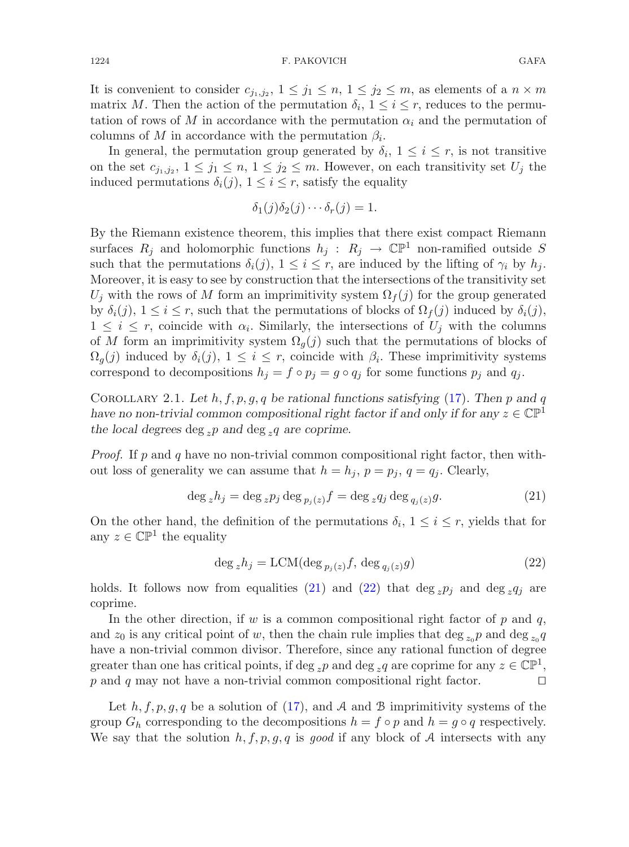It is convenient to consider  $c_{j_1,j_2}$ ,  $1 \leq j_1 \leq n, 1 \leq j_2 \leq m$ , as elements of a  $n \times m$ matrix M. Then the action of the permutation  $\delta_i$ ,  $1 \leq i \leq r$ , reduces to the permutation of rows of M in accordance with the permutation  $\alpha_i$  and the permutation of columns of M in accordance with the permutation  $\beta_i$ .

In general, the permutation group generated by  $\delta_i$ ,  $1 \leq i \leq r$ , is not transitive on the set  $c_{j_1,j_2}$ ,  $1 \leq j_1 \leq n, 1 \leq j_2 \leq m$ . However, on each transitivity set  $U_j$  the induced permutations  $\delta_i(j)$ ,  $1 \leq i \leq r$ , satisfy the equality

$$
\delta_1(j)\delta_2(j)\cdots\delta_r(j)=1.
$$

By the Riemann existence theorem, this implies that there exist compact Riemann surfaces  $R_i$  and holomorphic functions  $h_i : R_i \to \mathbb{C}P^1$  non-ramified outside S such that the permutations  $\delta_i(j)$ ,  $1 \leq i \leq r$ , are induced by the lifting of  $\gamma_i$  by  $h_j$ . Moreover, it is easy to see by construction that the intersections of the transitivity set  $U_j$  with the rows of M form an imprimitivity system  $\Omega_f(j)$  for the group generated by  $\delta_i(j)$ ,  $1 \leq i \leq r$ , such that the permutations of blocks of  $\Omega_f(j)$  induced by  $\delta_i(j)$ ,  $1 \leq i \leq r$ , coincide with  $\alpha_i$ . Similarly, the intersections of  $U_j$  with the columns of M form an imprimitivity system  $\Omega_q(j)$  such that the permutations of blocks of  $\Omega_q(j)$  induced by  $\delta_i(j)$ ,  $1 \leq i \leq r$ , coincide with  $\beta_i$ . These imprimitivity systems correspond to decompositions  $h_j = f \circ p_j = g \circ q_j$  for some functions  $p_j$  and  $q_j$ .

<span id="page-7-2"></span>Corollary 2.1. *Let* h, f, p, g, q *be rational functions satisfying* [\(17\)](#page-5-1)*. Then* p *and* q *have no non-trivial common compositional right factor if and only if for any*  $z \in \mathbb{CP}^1$ the local degrees  $\deg_z p$  and  $\deg_z q$  are coprime.

*Proof.* If p and q have no non-trivial common compositional right factor, then without loss of generality we can assume that  $h = h_j$ ,  $p = p_j$ ,  $q = q_j$ . Clearly,

$$
\deg_z h_j = \deg_z p_j \deg_{p_j(z)} f = \deg_z q_j \deg_{q_j(z)} g. \tag{21}
$$

<span id="page-7-0"></span>On the other hand, the definition of the permutations  $\delta_i$ ,  $1 \leq i \leq r$ , yields that for any  $z \in \mathbb{CP}^1$  the equality

$$
\deg_z h_j = \text{LCM}(\deg_{p_j(z)} f, \deg_{q_j(z)} g) \tag{22}
$$

<span id="page-7-1"></span>holds. It follows now from equalities [\(21\)](#page-7-0) and [\(22\)](#page-7-1) that deg  $zpi_j$  and deg  $zq_j$  are coprime.

In the other direction, if w is a common compositional right factor of  $p$  and  $q$ , and  $z_0$  is any critical point of w, then the chain rule implies that deg  $z_0 p$  and deg  $z_0 q$ have a non-trivial common divisor. Therefore, since any rational function of degree greater than one has critical points, if deg <sub>z</sub>p and deg <sub>z</sub>q are coprime for any  $z \in \mathbb{CP}^1$ ,<br>p and q may not have a non-trivial common compositional right factor. p and q may not have a non-trivial common compositional right factor.

Let  $h, f, p, q, q$  be a solution of [\(17\)](#page-5-1), and A and B imprimitivity systems of the group  $G_h$  corresponding to the decompositions  $h = f \circ p$  and  $h = g \circ q$  respectively. We say that the solution  $h, f, p, g, q$  is good if any block of A intersects with any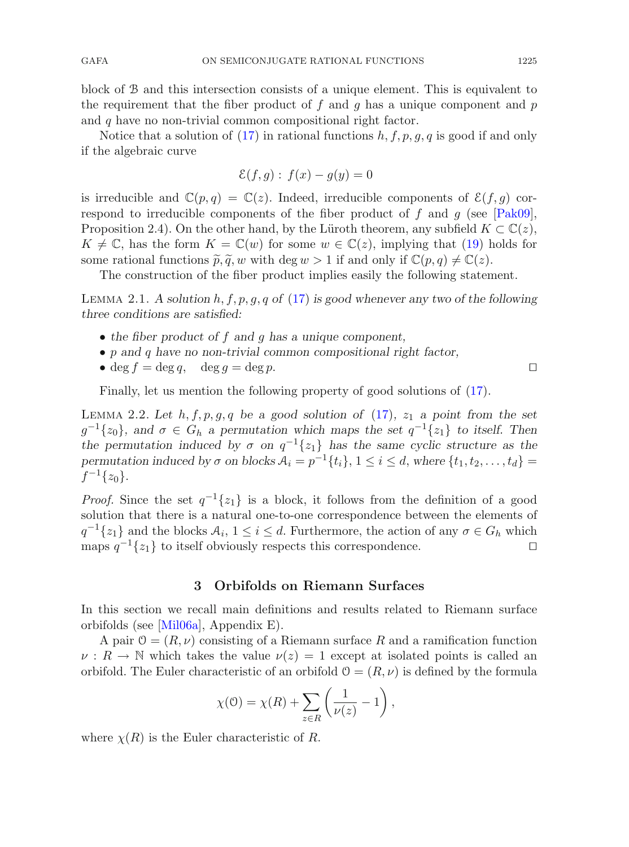block of B and this intersection consists of a unique element. This is equivalent to the requirement that the fiber product of f and g has a unique component and  $p$ and q have no non-trivial common compositional right factor.

Notice that a solution of [\(17\)](#page-5-1) in rational functions  $h, f, p, q, q$  is good if and only if the algebraic curve

$$
\mathcal{E}(f,g): f(x) - g(y) = 0
$$

is irreducible and  $\mathbb{C}(p,q) = \mathbb{C}(z)$ . Indeed, irreducible components of  $\mathcal{E}(f,g)$  correspond to irreducible components of the fiber product of  $f$  and  $g$  (see [\[Pak09](#page-26-3)], Proposition 2.4). On the other hand, by the Lüroth theorem, any subfield  $K \subset \mathbb{C}(z)$ ,  $K \neq \mathbb{C}$ , has the form  $K = \mathbb{C}(w)$  for some  $w \in \mathbb{C}(z)$ , implying that [\(19\)](#page-6-0) holds for some rational functions  $\tilde{p}, \tilde{q}, w$  with deg  $w > 1$  if and only if  $\mathbb{C}(p, q) \neq \mathbb{C}(z)$ .

The construction of the fiber product implies easily the following statement.

<span id="page-8-1"></span>Lemma 2.1. *A solution* h, f, p, g, q *of* [\(17\)](#page-5-1) *is good whenever any two of the following three conditions are satisfied:*

- *the fiber product of* f *and* g *has a unique component,*
- p *and* q *have no non-trivial common compositional right factor,*
- deg  $f = \deg q$ , deg  $q = \deg p$ .

Finally, let us mention the following property of good solutions of [\(17\)](#page-5-1).

<span id="page-8-0"></span>LEMMA 2.2. Let  $h, f, p, g, q$  be a good solution of  $(17)$ ,  $z<sub>1</sub>$  a point from the set  $g^{-1}\{z_0\}$ , and  $\sigma \in G_h$  a permutation which maps the set  $q^{-1}\{z_1\}$  to itself. Then *the permutation induced by*  $\sigma$  *on*  $q^{-1}{z_1}$  *has the same cyclic structure as the permutation induced by*  $\sigma$  *on blocks*  $\mathcal{A}_i = p^{-1}{t_i}$ ,  $1 \leq i \leq d$ , *where*  ${t_1, t_2, \ldots, t_d}$  $f^{-1}\{z_0\}.$ 

*Proof.* Since the set  $q^{-1}{z_1}$  is a block, it follows from the definition of a good solution that there is a natural one-to-one correspondence between the elements of  $q^{-1}\{z_1\}$  and the blocks  $\mathcal{A}_i$ ,  $1 \leq i \leq d$ . Furthermore, the action of any  $\sigma \in G_h$  which maps  $q^{-1}\{z_1\}$  to itself obviously respects this correspondence. maps  $q^{-1}{z_1}$  to itself obviously respects this correspondence.

### **3 Orbifolds on Riemann Surfaces**

In this section we recall main definitions and results related to Riemann surface orbifolds (see [\[Mil06a\]](#page-26-7), Appendix E).

A pair  $\mathcal{O} = (R, \nu)$  consisting of a Riemann surface R and a ramification function  $\nu : R \to \mathbb{N}$  which takes the value  $\nu(z) = 1$  except at isolated points is called an orbifold. The Euler characteristic of an orbifold  $\mathcal{O} = (R, \nu)$  is defined by the formula

$$
\chi(\mathbf{0}) = \chi(R) + \sum_{z \in R} \left( \frac{1}{\nu(z)} - 1 \right),
$$

where  $\chi(R)$  is the Euler characteristic of R.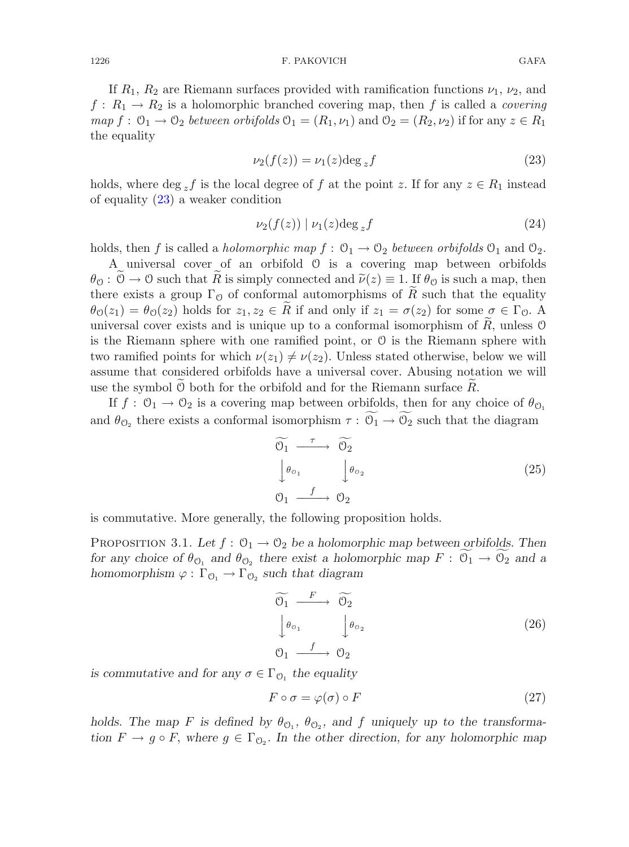If  $R_1, R_2$  are Riemann surfaces provided with ramification functions  $\nu_1, \nu_2$ , and  $f: R_1 \to R_2$  is a holomorphic branched covering map, then f is called a *covering*  $map f: \mathcal{O}_1 \to \mathcal{O}_2$  *between orbifolds*  $\mathcal{O}_1 = (R_1, \nu_1)$  and  $\mathcal{O}_2 = (R_2, \nu_2)$  if for any  $z \in R_1$ the equality

<span id="page-9-0"></span>
$$
\nu_2(f(z)) = \nu_1(z) \deg_z f \tag{23}
$$

holds, where deg zf is the local degree of f at the point z. If for any  $z \in R_1$  instead of equality [\(23\)](#page-9-0) a weaker condition

<span id="page-9-3"></span>
$$
\nu_2(f(z)) \mid \nu_1(z) \deg_z f \tag{24}
$$

holds, then f is called a *holomorphic map*  $f: \mathcal{O}_1 \to \mathcal{O}_2$  *between orbifolds*  $\mathcal{O}_1$  and  $\mathcal{O}_2$ .

A universal cover of an orbifold O is a covering map between orbifolds  $\theta_{\mathcal{O}}: \mathcal{O} \to \mathcal{O}$  such that R is simply connected and  $\tilde{\nu}(z) \equiv 1$ . If  $\theta_{\mathcal{O}}$  is such a map, then there exists a group  $\Gamma_0$  of conformal automorphisms of R such that the equality  $\theta_{\mathcal{O}}(z_1) = \theta_{\mathcal{O}}(z_2)$  holds for  $z_1, z_2 \in R$  if and only if  $z_1 = \sigma(z_2)$  for some  $\sigma \in \Gamma_{\mathcal{O}}$ . A universal cover exists and is unique up to a conformal isomorphism of  $R$ , unless  $\mathcal O$ is the Riemann sphere with one ramified point, or O is the Riemann sphere with two ramified points for which  $\nu(z_1) \neq \nu(z_2)$ . Unless stated otherwise, below we will assume that considered orbifolds have a universal cover. Abusing notation we will use the symbol  $\theta$  both for the orbifold and for the Riemann surface R.

If  $f: \mathcal{O}_1 \to \mathcal{O}_2$  is a covering map between orbifolds, then for any choice of  $\theta_{\mathcal{O}_1}$ and  $\theta_{\mathcal{O}_2}$  there exists a conformal isomorphism  $\tau: \mathcal{O}_1 \to \mathcal{O}_2$  such that the diagram

$$
\begin{array}{ccc}\n\widetilde{0_1} & \xrightarrow{\tau} & \widetilde{0_2} \\
\downarrow \theta_{\sigma_1} & & \downarrow \theta_{\sigma_2} \\
0_1 & \xrightarrow{f} & \sigma_2\n\end{array} \tag{25}
$$

<span id="page-9-4"></span>is commutative. More generally, the following proposition holds.

PROPOSITION 3.1. Let  $f: \mathcal{O}_1 \to \mathcal{O}_2$  be a holomorphic map between orbifolds. Then *for any choice of*  $\theta_{\mathcal{O}_1}$  *and*  $\theta_{\mathcal{O}_2}$  *there exist a holomorphic map*  $F: \mathcal{O}_1 \to \mathcal{O}_2$  *and a homomorphism*  $\varphi : \Gamma_{\mathcal{O}_1} \to \Gamma_{\mathcal{O}_2}$  *such that diagram* 

<span id="page-9-2"></span>
$$
\widetilde{\mathcal{O}_1} \xrightarrow{F} \widetilde{\mathcal{O}_2} \n\downarrow \theta_{\mathcal{O}_1} \qquad \downarrow \theta_{\mathcal{O}_2} \n\mathcal{O}_1 \xrightarrow{f} \mathcal{O}_2
$$
\n(26)

*is commutative and for any*  $\sigma \in \Gamma_{\mathcal{O}_1}$  *the equality* 

<span id="page-9-1"></span>
$$
F \circ \sigma = \varphi(\sigma) \circ F \tag{27}
$$

*holds. The map* F is defined by  $\theta_{\mathcal{O}_1}$ ,  $\theta_{\mathcal{O}_2}$ , and f uniquely up to the transforma*tion*  $F \to g \circ F$ , where  $g \in \Gamma_{\mathcal{O}_2}$ . In the other direction, for any holomorphic map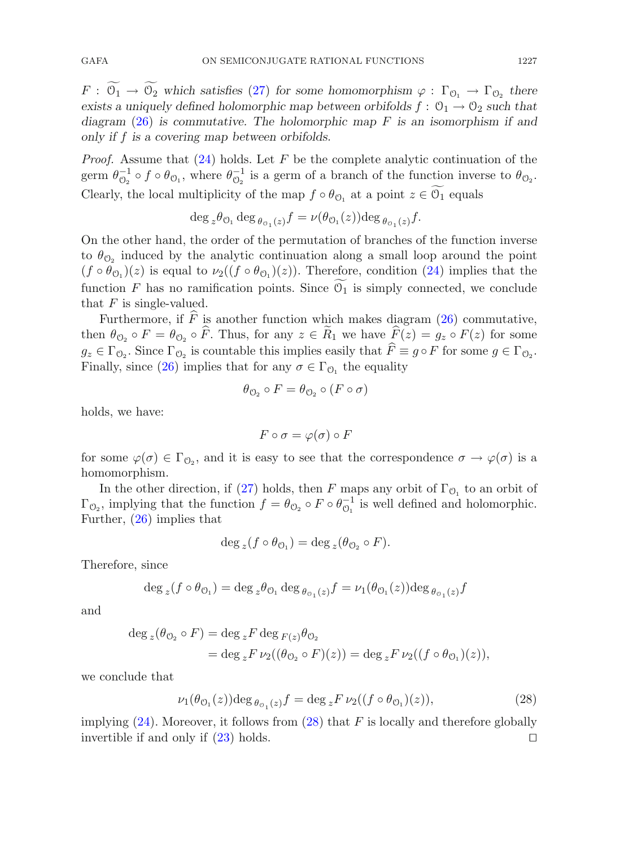$F: \mathcal{O}_1 \to \mathcal{O}_2$  which satisfies [\(27\)](#page-9-1) for some homomorphism  $\varphi: \Gamma_{\mathcal{O}_1} \to \Gamma_{\mathcal{O}_2}$  there *exists a uniquely defined holomorphic map between orbifolds*  $f: \mathcal{O}_1 \to \mathcal{O}_2$  *such that diagram* [\(26\)](#page-9-2) *is commutative. The holomorphic map* F *is an isomorphism if and only if* f *is a covering map between orbifolds.*

*Proof.* Assume that [\(24\)](#page-9-3) holds. Let F be the complete analytic continuation of the germ  $\theta_{\mathcal{O}_2}^{-1} \circ f \circ \theta_{\mathcal{O}_1}$ , where  $\theta_{\mathcal{O}_2}^{-1}$  is a germ of a branch of the function inverse to  $\theta_{\mathcal{O}_2}$ . Clearly, the local multiplicity of the map  $f \circ \theta_{\mathcal{O}_1}$  at a point  $z \in \mathcal{O}_1$  equals

$$
\deg_z \theta_{\mathcal{O}_1} \deg_{\theta_{\mathcal{O}_1}(z)} f = \nu(\theta_{\mathcal{O}_1}(z)) \deg_{\theta_{\mathcal{O}_1}(z)} f.
$$

On the other hand, the order of the permutation of branches of the function inverse to  $\theta_{\mathcal{O}_2}$  induced by the analytic continuation along a small loop around the point  $(f \circ \theta_{\mathcal{O}_1})(z)$  is equal to  $\nu_2((f \circ \theta_{\mathcal{O}_1})(z))$ . Therefore, condition [\(24\)](#page-9-3) implies that the function F has no ramification points. Since  $\mathcal{O}_1$  is simply connected, we conclude that  $F$  is single-valued.

Furthermore, if F is another function which makes diagram [\(26\)](#page-9-2) commutative, then  $\theta_{\mathcal{O}_2} \circ F = \theta_{\mathcal{O}_2} \circ F$ . Thus, for any  $z \in R_1$  we have  $F(z) = g_z \circ F(z)$  for some  $g_z \in \Gamma_{\mathcal{O}_2}$ . Since  $\Gamma_{\mathcal{O}_2}$  is countable this implies easily that  $F \equiv g \circ F$  for some  $g \in \Gamma_{\mathcal{O}_2}$ . Finally, since [\(26\)](#page-9-2) implies that for any  $\sigma \in \Gamma_{\mathcal{O}_1}$  the equality

$$
\theta_{\mathcal{O}_2} \circ F = \theta_{\mathcal{O}_2} \circ (F \circ \sigma)
$$

holds, we have:

$$
F\circ \sigma=\varphi(\sigma)\circ F
$$

for some  $\varphi(\sigma) \in \Gamma_{\mathcal{O}_2}$ , and it is easy to see that the correspondence  $\sigma \to \varphi(\sigma)$  is a homomorphism.

In the other direction, if [\(27\)](#page-9-1) holds, then F maps any orbit of  $\Gamma_{\mathcal{O}_1}$  to an orbit of  $\Gamma_{\mathcal{O}_2}$ , implying that the function  $f = \theta_{\mathcal{O}_2} \circ F \circ \theta_{\mathcal{O}_1}^{-1}$  is well defined and holomorphic. Further, [\(26\)](#page-9-2) implies that

$$
\deg_z(f\circ\theta_{\mathcal{O}_1})=\deg_z(\theta_{\mathcal{O}_2}\circ F).
$$

Therefore, since

$$
\deg_z(f \circ \theta_{\mathcal{O}_1}) = \deg_z \theta_{\mathcal{O}_1} \deg_{\theta_{\mathcal{O}_1}(z)} f = \nu_1(\theta_{\mathcal{O}_1}(z)) \deg_{\theta_{\mathcal{O}_1}(z)} f
$$

and

$$
\deg_z(\theta_{\mathcal{O}_2} \circ F) = \deg_z F \deg_{F(z)} \theta_{\mathcal{O}_2}
$$
  
= 
$$
\deg_z F \nu_2((\theta_{\mathcal{O}_2} \circ F)(z)) = \deg_z F \nu_2((f \circ \theta_{\mathcal{O}_1})(z)),
$$

<span id="page-10-0"></span>we conclude that

$$
\nu_1(\theta_{\mathcal{O}_1}(z))\mathrm{deg}\,\theta_{\mathcal{O}_1(z)}f = \mathrm{deg}\,{}_zF\,\nu_2((f\circ\theta_{\mathcal{O}_1})(z)),\tag{28}
$$

implying  $(24)$ . Moreover, it follows from  $(28)$  that F is locally and therefore globally invertible if and only if  $(23)$  holds.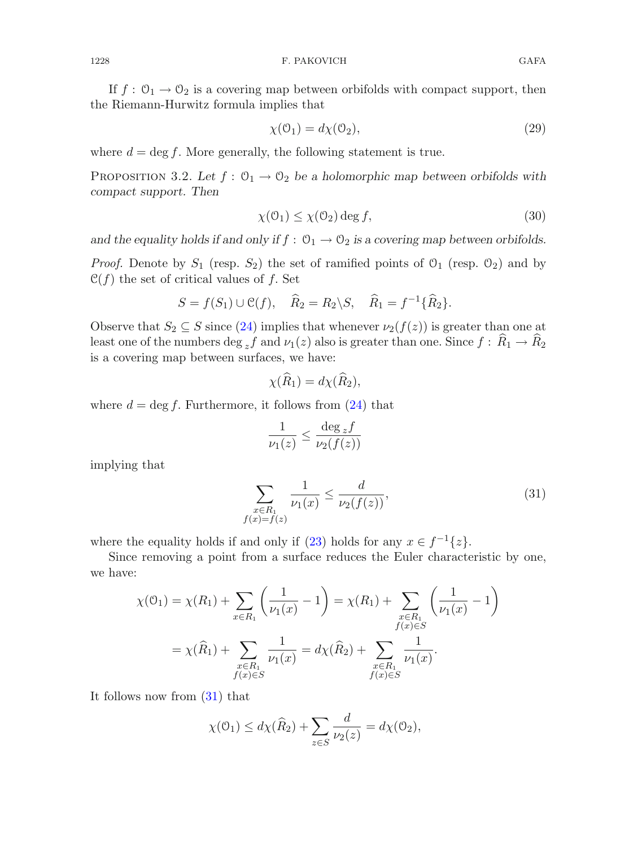If  $f: \mathcal{O}_1 \to \mathcal{O}_2$  is a covering map between orbifolds with compact support, then the Riemann-Hurwitz formula implies that

<span id="page-11-3"></span>
$$
\chi(\mathcal{O}_1) = d\chi(\mathcal{O}_2),\tag{29}
$$

<span id="page-11-2"></span>where  $d = \deg f$ . More generally, the following statement is true.

PROPOSITION 3.2. Let  $f: \mathcal{O}_1 \to \mathcal{O}_2$  be a holomorphic map between orbifolds with *compact support. Then*

<span id="page-11-1"></span>
$$
\chi(\mathcal{O}_1) \le \chi(\mathcal{O}_2) \deg f,\tag{30}
$$

and the equality holds if and only if  $f: \mathcal{O}_1 \to \mathcal{O}_2$  is a covering map between orbifolds.

*Proof.* Denote by  $S_1$  (resp.  $S_2$ ) the set of ramified points of  $O_1$  (resp.  $O_2$ ) and by  $\mathcal{C}(f)$  the set of critical values of f. Set

$$
S = f(S_1) \cup \mathcal{C}(f), \quad \widehat{R}_2 = R_2 \backslash S, \quad \widehat{R}_1 = f^{-1} \{\widehat{R}_2\}.
$$

Observe that  $S_2 \subseteq S$  since [\(24\)](#page-9-3) implies that whenever  $\nu_2(f(z))$  is greater than one at least one of the numbers deg  $_{z}f$  and  $\nu_1(z)$  also is greater than one. Since  $f: R_1 \to R_2$ is a covering map between surfaces, we have:

$$
\chi(\widehat{R}_1) = d\chi(\widehat{R}_2),
$$

where  $d = \deg f$ . Furthermore, it follows from  $(24)$  that

$$
\frac{1}{\nu_1(z)} \le \frac{\deg_z f}{\nu_2(f(z))}
$$

<span id="page-11-0"></span>implying that

$$
\sum_{\substack{x \in R_1 \\ f(x) = f(z)}} \frac{1}{\nu_1(x)} \le \frac{d}{\nu_2(f(z))},\tag{31}
$$

where the equality holds if and only if [\(23\)](#page-9-0) holds for any  $x \in f^{-1}{z}$ .

Since removing a point from a surface reduces the Euler characteristic by one, we have:

$$
\chi(\mathbf{0}_1) = \chi(R_1) + \sum_{x \in R_1} \left( \frac{1}{\nu_1(x)} - 1 \right) = \chi(R_1) + \sum_{\substack{x \in R_1 \\ f(x) \in S}} \left( \frac{1}{\nu_1(x)} - 1 \right)
$$

$$
= \chi(\widehat{R}_1) + \sum_{\substack{x \in R_1 \\ f(x) \in S}} \frac{1}{\nu_1(x)} = d\chi(\widehat{R}_2) + \sum_{\substack{x \in R_1 \\ f(x) \in S}} \frac{1}{\nu_1(x)}.
$$

It follows now from [\(31\)](#page-11-0) that

$$
\chi(\mathcal{O}_1) \le d\chi(\widehat{R}_2) + \sum_{z \in S} \frac{d}{\nu_2(z)} = d\chi(\mathcal{O}_2),
$$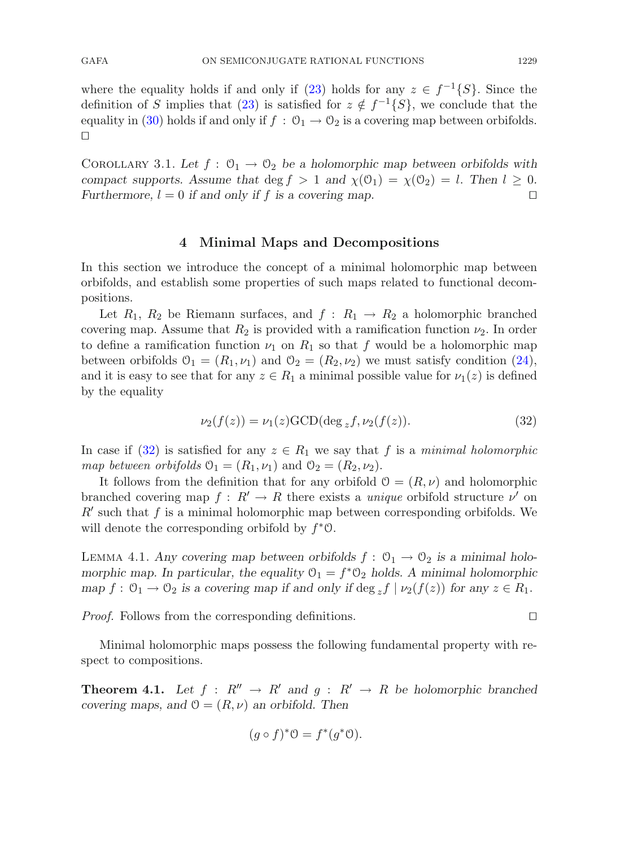where the equality holds if and only if [\(23\)](#page-9-0) holds for any  $z \in f^{-1}{S}$ . Since the definition of S implies that [\(23\)](#page-9-0) is satisfied for  $z \notin f^{-1}{S}$ , we conclude that the equality in [\(30\)](#page-11-1) holds if and only if  $f : \mathcal{O}_1 \to \mathcal{O}_2$  is a covering map between orbifolds.  $\Box$ 

<span id="page-12-3"></span>COROLLARY 3.1. Let  $f : \mathcal{O}_1 \to \mathcal{O}_2$  be a holomorphic map between orbifolds with *compact supports. Assume that* deg  $f > 1$  *and*  $\chi(\mathcal{O}_1) = \chi(\mathcal{O}_2) = l$ . *Then*  $l \geq 0$ *. Furthermore,*  $l = 0$  *if and only if f is a covering map. Furthermore,*  $l = 0$  *if and only if* f *is a covering map.* 

#### **4 Minimal Maps and Decompositions**

In this section we introduce the concept of a minimal holomorphic map between orbifolds, and establish some properties of such maps related to functional decompositions.

Let  $R_1, R_2$  be Riemann surfaces, and  $f: R_1 \rightarrow R_2$  a holomorphic branched covering map. Assume that  $R_2$  is provided with a ramification function  $\nu_2$ . In order to define a ramification function  $\nu_1$  on  $R_1$  so that f would be a holomorphic map between orbifolds  $\mathcal{O}_1 = (R_1, \nu_1)$  and  $\mathcal{O}_2 = (R_2, \nu_2)$  we must satisfy condition [\(24\)](#page-9-3), and it is easy to see that for any  $z \in R_1$  a minimal possible value for  $\nu_1(z)$  is defined by the equality

$$
\nu_2(f(z)) = \nu_1(z) \text{GCD}(\deg_z f, \nu_2(f(z)). \tag{32}
$$

<span id="page-12-0"></span>In case if [\(32\)](#page-12-0) is satisfied for any  $z \in R_1$  we say that f is a *minimal holomorphic map between orbifolds*  $\mathcal{O}_1 = (R_1, \nu_1)$  and  $\mathcal{O}_2 = (R_2, \nu_2)$ .

It follows from the definition that for any orbifold  $\mathcal{O} = (R, \nu)$  and holomorphic branched covering map  $f: R' \to R$  there exists a *unique* orbifold structure  $\nu'$  on  $R'$  such that f is a minimal holomorphic map between corresponding orbifolds. We will denote the corresponding orbifold by  $f^*\mathcal{O}$ .

<span id="page-12-2"></span>LEMMA 4.1. Any covering map between orbifolds  $f: \mathcal{O}_1 \to \mathcal{O}_2$  is a minimal holo*morphic map. In particular, the equality*  $\mathcal{O}_1 = f^* \mathcal{O}_2$  *holds. A minimal holomorphic map*  $f: \mathcal{O}_1 \to \mathcal{O}_2$  *is a covering map if and only if* deg  $\{f \mid \nu_2(f(z))\}$  *for any*  $z \in R_1$ .

*Proof.* Follows from the corresponding definitions.

<span id="page-12-1"></span>Minimal holomorphic maps possess the following fundamental property with respect to compositions.

**Theorem 4.1.** Let  $f : R'' \to R'$  and  $g : R' \to R$  be holomorphic branched *covering maps, and*  $\mathcal{O} = (R, \nu)$  *an orbifold. Then* 

$$
(g \circ f)^* \mathcal{O} = f^*(g^* \mathcal{O}).
$$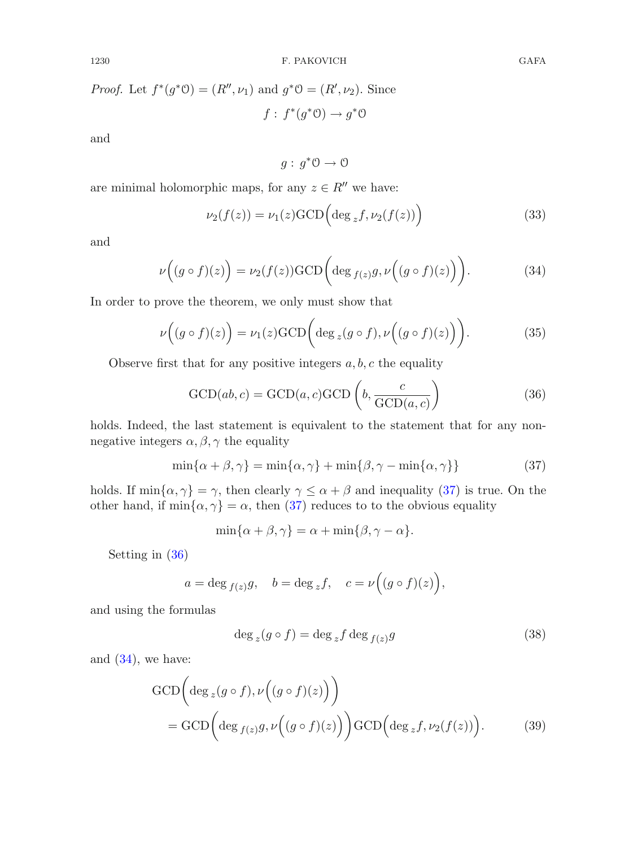*Proof.* Let  $f^*(g^*\Theta) = (R'', \nu_1)$  and  $g^*\Theta = (R', \nu_2)$ . Since  $f: f^*(g^*\mathcal{O}) \to g^*\mathcal{O}$ 

and

 $q: q^*\Theta \to \Theta$ 

<span id="page-13-3"></span>are minimal holomorphic maps, for any  $z \in R''$  we have:

$$
\nu_2(f(z)) = \nu_1(z) \text{GCD} \left( \text{deg}_z f, \nu_2(f(z)) \right) \tag{33}
$$

<span id="page-13-2"></span>and

$$
\nu\Big((g \circ f)(z)\Big) = \nu_2(f(z))\text{GCD}\bigg(\text{deg }_{f(z)}g, \nu\Big((g \circ f)(z)\Big)\bigg). \tag{34}
$$

<span id="page-13-4"></span>In order to prove the theorem, we only must show that

$$
\nu\Big((g \circ f)(z)\Big) = \nu_1(z) \text{GCD}\bigg(\text{deg}_z(g \circ f), \nu\Big((g \circ f)(z)\Big)\bigg). \tag{35}
$$

<span id="page-13-1"></span>Observe first that for any positive integers  $a, b, c$  the equality

$$
\text{GCD}(ab, c) = \text{GCD}(a, c)\text{GCD}\left(b, \frac{c}{\text{GCD}(a, c)}\right) \tag{36}
$$

holds. Indeed, the last statement is equivalent to the statement that for any nonnegative integers  $\alpha, \beta, \gamma$  the equality

$$
\min\{\alpha + \beta, \gamma\} = \min\{\alpha, \gamma\} + \min\{\beta, \gamma - \min\{\alpha, \gamma\}\}\tag{37}
$$

<span id="page-13-0"></span>holds. If  $\min\{\alpha, \gamma\} = \gamma$ , then clearly  $\gamma \leq \alpha + \beta$  and inequality [\(37\)](#page-13-0) is true. On the other hand, if  $\min\{\alpha, \gamma\} = \alpha$ , then [\(37\)](#page-13-0) reduces to to the obvious equality

$$
\min\{\alpha+\beta,\gamma\}=\alpha+\min\{\beta,\gamma-\alpha\}.
$$

Setting in [\(36\)](#page-13-1)

$$
a = \deg_{f(z)}g
$$
,  $b = \deg_z f$ ,  $c = \nu((g \circ f)(z))$ ,

and using the formulas

<span id="page-13-5"></span>
$$
\deg_z(g \circ f) = \deg_z f \deg_{f(z)} g \tag{38}
$$

and  $(34)$ , we have:

$$
GCD\left(\deg_z(g\circ f),\nu\left((g\circ f)(z)\right)\right)
$$
  
= 
$$
GCD\left(\deg_{f(z)}g,\nu\left((g\circ f)(z)\right)\right)GCD\left(\deg_z f,\nu_2(f(z))\right).
$$
 (39)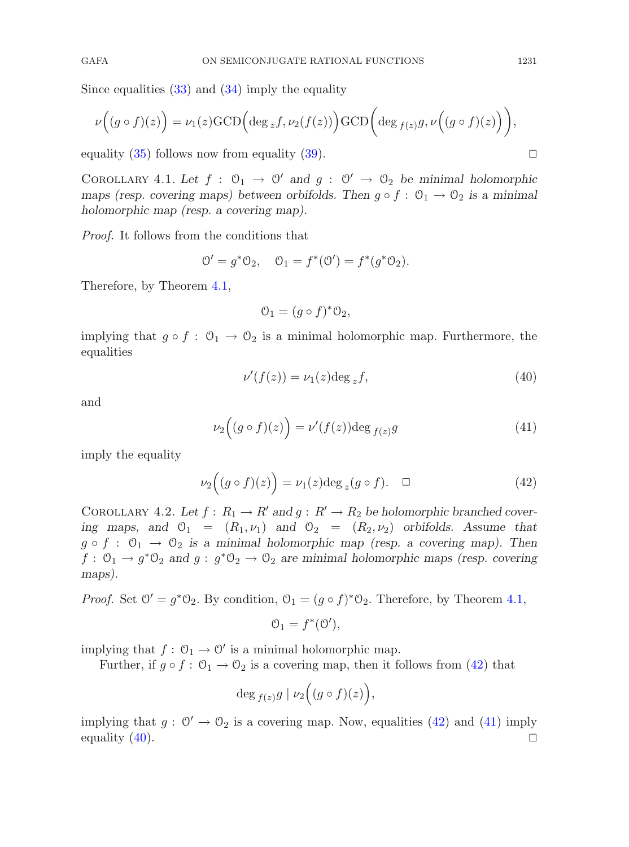Since equalities  $(33)$  and  $(34)$  imply the equality

$$
\nu\Big((g\circ f)(z)\Big) = \nu_1(z)\text{GCD}\Big(\text{deg}_z f, \nu_2(f(z))\Big)\text{GCD}\Big(\text{deg}_{f(z)}g, \nu\Big((g\circ f)(z)\Big)\Big),\,
$$

<span id="page-14-4"></span>equality  $(35)$  follows now from equality  $(39)$ .

COROLLARY 4.1. Let  $f : \mathcal{O}_1 \to \mathcal{O}'$  and  $g : \mathcal{O}' \to \mathcal{O}_2$  be minimal holomorphic *maps (resp. covering maps) between orbifolds. Then*  $g \circ f : \mathcal{O}_1 \to \mathcal{O}_2$  *is a minimal holomorphic map (resp. a covering map).*

*Proof.* It follows from the conditions that

$$
0' = g^*0_2
$$
,  $0_1 = f^*(0') = f^*(g^*0_2)$ .

Therefore, by Theorem [4.1,](#page-12-1)

$$
\mathcal{O}_1 = (g \circ f)^* \mathcal{O}_2,
$$

implying that  $g \circ f : \mathcal{O}_1 \to \mathcal{O}_2$  is a minimal holomorphic map. Furthermore, the equalities

$$
\nu'(f(z)) = \nu_1(z) \deg_z f,\tag{40}
$$

<span id="page-14-1"></span>and

<span id="page-14-2"></span>
$$
\nu_2\Big((g \circ f)(z)\Big) = \nu'(f(z))\deg_{f(z)}g\tag{41}
$$

<span id="page-14-0"></span>imply the equality

$$
\nu_2\Big((g\circ f)(z)\Big) = \nu_1(z)\deg_z(g\circ f). \quad \Box \tag{42}
$$

<span id="page-14-3"></span>COROLLARY 4.2. Let  $f: R_1 \to R'$  and  $g: R' \to R_2$  be holomorphic branched cover*ing maps, and*  $\mathcal{O}_1 = (R_1, \nu_1)$  *and*  $\mathcal{O}_2 = (R_2, \nu_2)$  *orbifolds. Assume that*  $g \circ f : \mathcal{O}_1 \to \mathcal{O}_2$  is a minimal holomorphic map (resp. a covering map). Then  $f: \mathcal{O}_1 \to g^* \mathcal{O}_2$  and  $g: g^* \mathcal{O}_2 \to \mathcal{O}_2$  are minimal holomorphic maps (resp. covering *maps).*

*Proof.* Set  $\mathcal{O}' = q^*\mathcal{O}_2$ . By condition,  $\mathcal{O}_1 = (q \circ f)^*\mathcal{O}_2$ . Therefore, by Theorem [4.1,](#page-12-1)

$$
\mathcal{O}_1 = f^*(\mathcal{O}'),
$$

implying that  $f: \mathcal{O}_1 \to \mathcal{O}'$  is a minimal holomorphic map.

Further, if  $g \circ f : \mathcal{O}_1 \to \mathcal{O}_2$  is a covering map, then it follows from [\(42\)](#page-14-0) that

$$
\deg_{f(z)}g\mid \nu_2\Bigl((g\circ f)(z)\Bigr),
$$

implying that  $g: \mathbb{O}' \to \mathbb{O}_2$  is a covering map. Now, equalities [\(42\)](#page-14-0) and [\(41\)](#page-14-1) imply equality (40). equality [\(40\)](#page-14-2).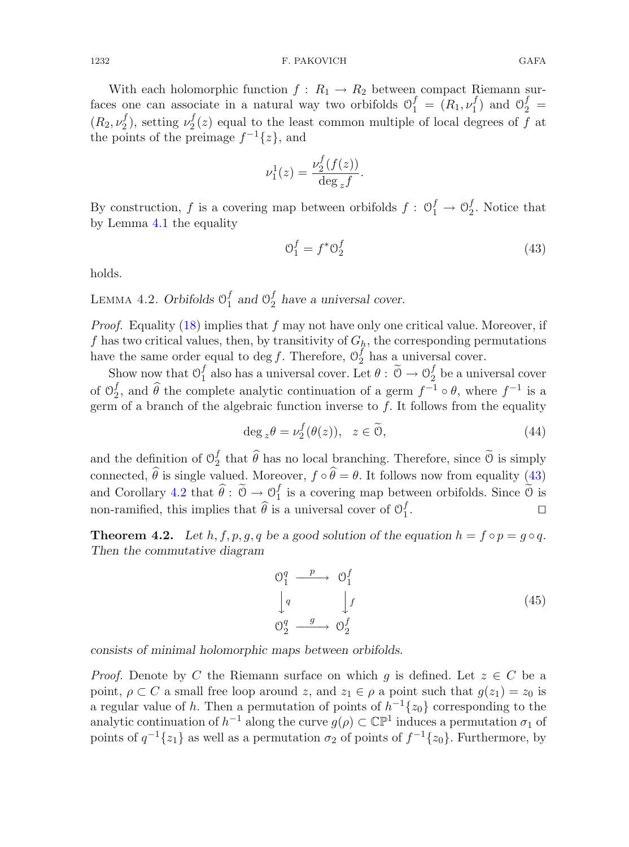With each holomorphic function  $f: R_1 \to R_2$  between compact Riemann surfaces one can associate in a natural way two orbifolds  $\mathcal{O}_1^f = (R_1, \nu_1^f)$  and  $\mathcal{O}_2^f =$  $(R_2, \nu_2^f)$ , setting  $\nu_2^f(z)$  equal to the least common multiple of local degrees of f at the points of the preimage  $f^{-1}{z}$ , and

$$
\nu_1^1(z) = \frac{\nu_2^f(f(z))}{\deg_z f}.
$$

By construction, f is a covering map between orbifolds  $f: \mathcal{O}_1^f \to \mathcal{O}_2^f$ . Notice that by Lemma [4.1](#page-12-2) the equality

<span id="page-15-0"></span>
$$
\mathcal{O}_1^f = f^* \mathcal{O}_2^f \tag{43}
$$

<span id="page-15-2"></span>holds.

LEMMA 4.2. *Orbifolds*  $\mathcal{O}_1^f$  and  $\mathcal{O}_2^f$  have a universal cover.

*Proof.* Equality [\(18\)](#page-5-2) implies that f may not have only one critical value. Moreover, if f has two critical values, then, by transitivity of  $G_h$ , the corresponding permutations have the same order equal to deg f. Therefore,  $\mathcal{O}_2^f$  has a universal cover.

Show now that  $\mathcal{O}_1^f$  also has a universal cover. Let  $\theta : \widetilde{\mathcal{O}} \to \mathcal{O}_2^f$  be a universal cover of  $\Theta_2^f$ , and  $\widehat{\theta}$  the complete analytic continuation of a germ  $f^{-1} \circ \theta$ , where  $f^{-1}$  is a germ of a branch of the algebraic function inverse to f. It follows from the equality germ of a branch of the algebraic function inverse to f. It follows from the equality

$$
\deg_z \theta = \nu_2^f(\theta(z)), \ z \in \widetilde{\mathcal{O}}, \tag{44}
$$

and the definition of  $\mathcal{O}_2^f$  that  $\widehat{\theta}$  has no local branching. Therefore, since  $\widetilde{\mathcal{O}}$  is simply  $\frac{v}{1}$ connected,  $\theta$  is single valued. Moreover,  $f \circ \theta = \theta$ . It follows now from equality [\(43\)](#page-15-0)  $\omega$  is single valued. Moreover,  $\int \phi \phi$ and Corollary [4.2](#page-14-3) that  $\hat{\theta}$ :  $\tilde{\theta} \to 0_1^f$  is a covering map between orbifolds. Since  $\tilde{\theta}$  is  $\overline{a}$ non-ramified, this implies that  $\widehat{\theta}$  is a universal cover of  $\mathcal{O}_1^f$  $\frac{J}{1}$ .

<span id="page-15-1"></span>**Theorem 4.2.** *Let*  $h, f, p, g, q$  *be a good solution of the equation*  $h = f \circ p = g \circ q$ *. Then the commutative diagram*

$$
\begin{array}{ccc}\n\mathbb{O}_{1}^{q} & \xrightarrow{p} & \mathbb{O}_{1}^{f} \\
\downarrow{q} & & \downarrow{f} \\
\mathbb{O}_{2}^{q} & \xrightarrow{g} & \mathbb{O}_{2}^{f}\n\end{array} \tag{45}
$$

*consists of minimal holomorphic maps between orbifolds.*

*Proof.* Denote by C the Riemann surface on which g is defined. Let  $z \in C$  be a point,  $\rho \subset C$  a small free loop around z, and  $z_1 \in \rho$  a point such that  $g(z_1) = z_0$  is a regular value of h. Then a permutation of points of  $h^{-1}{z_0}$  corresponding to the analytic continuation of  $h^{-1}$  along the curve  $g(\rho) \subset \mathbb{CP}^1$  induces a permutation  $\sigma_1$  of points of  $q^{-1}{z_1}$  as well as a permutation  $\sigma_2$  of points of  $f^{-1}{z_0}$ . Furthermore, by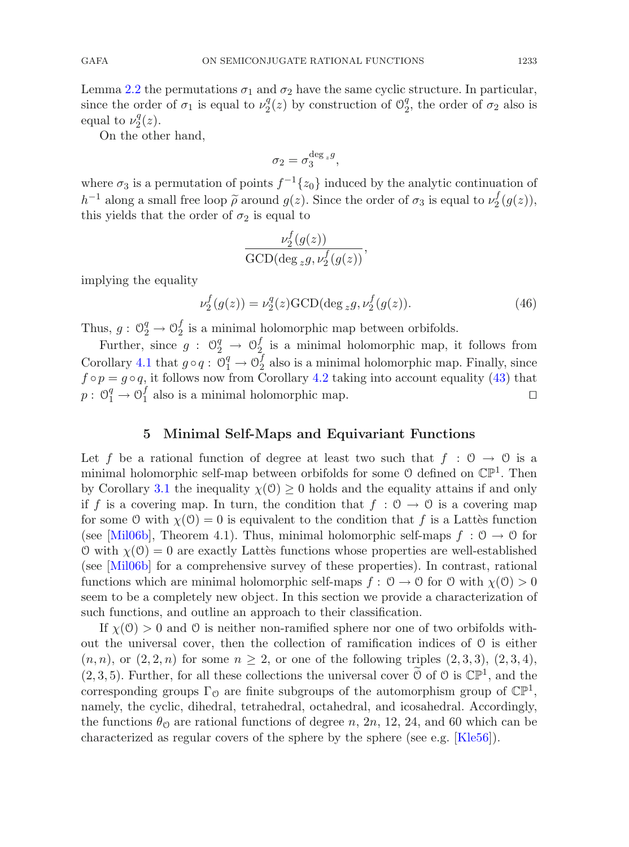Lemma [2.2](#page-8-0) the permutations  $\sigma_1$  and  $\sigma_2$  have the same cyclic structure. In particular, since the order of  $\sigma_1$  is equal to  $\nu_2^q(z)$  by construction of  $\mathcal{O}_2^q$ , the order of  $\sigma_2$  also is equal to  $\nu_2^q(z)$ .

On the other hand,

$$
\sigma_2 = \sigma_3^{\deg_z g},
$$

where  $\sigma_3$  is a permutation of points  $f^{-1}{z_0}$  induced by the analytic continuation of h<sup>-1</sup> along a small free loop  $\tilde{\rho}$  around  $g(z)$ . Since the order of  $\sigma_3$  is equal to  $\nu_2^f(g(z))$ , this vields that the order of  $\sigma_2$  is equal to this yields that the order of  $\sigma_2$  is equal to

$$
\frac{\nu_2^f(g(z))}{\text{GCD}(\deg_z g, \nu_2^f(g(z))},
$$

implying the equality

$$
\nu_2^f(g(z)) = \nu_2^g(z) \text{GCD}(\deg_z g, \nu_2^f(g(z)).
$$
\n(46)

Thus,  $g: \mathbb{O}_2^q \to \mathbb{O}_2^f$  is a minimal holomorphic map between orbifolds.

Further, since  $g: \mathcal{O}_2^q \to \mathcal{O}_{2_{\epsilon}}^f$  is a minimal holomorphic map, it follows from Corollary [4.1](#page-14-4) that  $g \circ q$ :  $\mathcal{O}_1^q \to \mathcal{O}_2^f$  also is a minimal holomorphic map. Finally, since  $f \circ p = g \circ q$ , it follows now from Corollary [4.2](#page-14-3) taking into account equality [\(43\)](#page-15-0) that  $p: \mathcal{O}_1^q \to \mathcal{O}_1^f$  also is a minimal holomorphic map.

# **5 Minimal Self-Maps and Equivariant Functions**

Let f be a rational function of degree at least two such that  $f : \mathcal{O} \to \mathcal{O}$  is a minimal holomorphic self-map between orbifolds for some  $\mathcal O$  defined on  $\mathbb{CP}^1$ . Then by Corollary [3.1](#page-12-3) the inequality  $\chi(0) \geq 0$  holds and the equality attains if and only if f is a covering map. In turn, the condition that  $f : \mathcal{O} \to \mathcal{O}$  is a covering map for some O with  $\chi(0) = 0$  is equivalent to the condition that f is a Lattes function (see [\[Mil06b](#page-26-8)], Theorem 4.1). Thus, minimal holomorphic self-maps  $f : \mathcal{O} \to \mathcal{O}$  for O with  $\chi(0) = 0$  are exactly Latter functions whose properties are well-established (see [\[Mil06b\]](#page-26-8) for a comprehensive survey of these properties). In contrast, rational functions which are minimal holomorphic self-maps  $f: \mathcal{O} \to \mathcal{O}$  for  $\mathcal{O}$  with  $\chi(\mathcal{O}) > 0$ seem to be a completely new object. In this section we provide a characterization of such functions, and outline an approach to their classification.

<span id="page-16-0"></span>If  $\chi(\mathcal{O}) > 0$  and  $\mathcal O$  is neither non-ramified sphere nor one of two orbifolds without the universal cover, then the collection of ramification indices of  $\theta$  is either  $(n, n)$ , or  $(2, 2, n)$  for some  $n \geq 2$ , or one of the following triples  $(2, 3, 3)$ ,  $(2, 3, 4)$ ,  $(2, 3, 5)$ . Further, for all these collections the universal cover  $\overline{0}$  of  $\overline{0}$  is  $\mathbb{CP}^1$ , and the corresponding groups  $\Gamma_0$  are finite subgroups of the automorphism group of  $\mathbb{CP}^1$ , namely, the cyclic, dihedral, tetrahedral, octahedral, and icosahedral. Accordingly, the functions  $\theta_0$  are rational functions of degree n, 2n, 12, 24, and 60 which can be characterized as regular covers of the sphere by the sphere (see e.g.  $[Kle56]$  $[Kle56]$ ).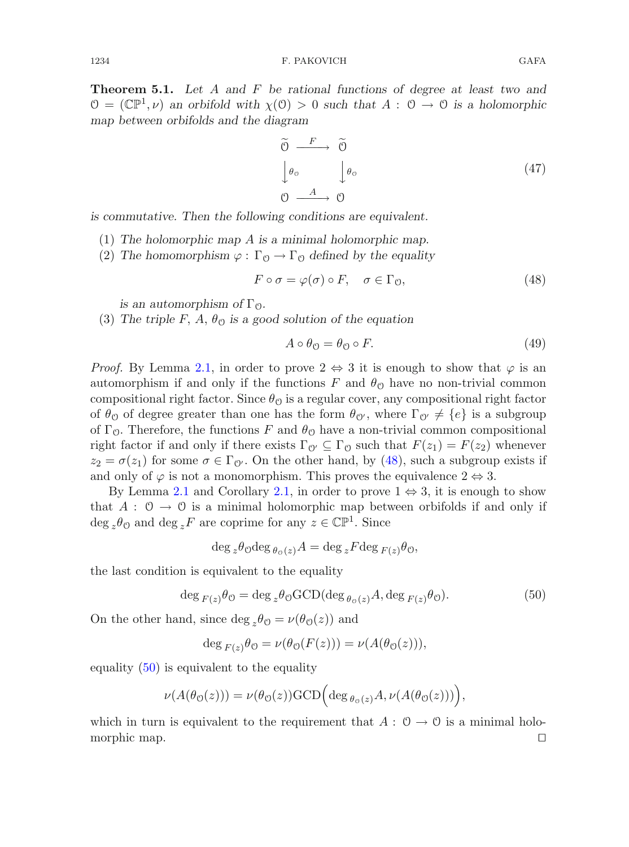**Theorem 5.1.** *Let* A *and* F *be rational functions of degree at least two and*  $\mathcal{O} = (\mathbb{CP}^1, \nu)$  an orbifold with  $\chi(\mathcal{O}) > 0$  such that  $A : \mathcal{O} \to \mathcal{O}$  is a holomorphic *map between orbifolds and the diagram*

<span id="page-17-2"></span>
$$
\begin{aligned}\n\widetilde{\Theta} & \xrightarrow{F} \widetilde{\Theta} \\
\downarrow \theta_{\mathcal{O}} & \downarrow \theta_{\mathcal{O}} \\
\Theta & \xrightarrow{A} \Theta\n\end{aligned} \tag{47}
$$

*is commutative. Then the following conditions are equivalent.*

- (1) *The holomorphic map* A *is a minimal holomorphic map.*
- (2) The homomorphism  $\varphi : \Gamma_0 \to \Gamma_0$  defined by the equality

$$
F \circ \sigma = \varphi(\sigma) \circ F, \quad \sigma \in \Gamma_0,\tag{48}
$$

<span id="page-17-0"></span>*is an automorphism of*  $\Gamma_0$ *.* 

(3) The triple F, A,  $\theta_{\mathcal{O}}$  is a good solution of the equation

$$
A \circ \theta_{\mathcal{O}} = \theta_{\mathcal{O}} \circ F. \tag{49}
$$

*Proof.* By Lemma [2.1,](#page-8-1) in order to prove  $2 \Leftrightarrow 3$  it is enough to show that  $\varphi$  is an automorphism if and only if the functions F and  $\theta_{\mathcal{O}}$  have no non-trivial common compositional right factor. Since  $\theta_{\mathcal{O}}$  is a regular cover, any compositional right factor of  $\theta_{\mathcal{O}}$  of degree greater than one has the form  $\theta_{\mathcal{O}'}$ , where  $\Gamma_{\mathcal{O}'} \neq \{e\}$  is a subgroup of  $\Gamma_{\mathcal{O}}$ . Therefore, the functions F and  $\theta_{\mathcal{O}}$  have a non-trivial common compositional right factor if and only if there exists  $\Gamma_{\mathcal{O}'} \subseteq \Gamma_{\mathcal{O}}$  such that  $F(z_1) = F(z_2)$  whenever  $z_2 = \sigma(z_1)$  for some  $\sigma \in \Gamma_{\mathcal{O}}$ . On the other hand, by [\(48\)](#page-17-0), such a subgroup exists if and only of  $\varphi$  is not a monomorphism. This proves the equivalence  $2 \Leftrightarrow 3$ .

By Lemma [2.1](#page-8-1) and Corollary [2.1,](#page-7-2) in order to prove  $1 \Leftrightarrow 3$ , it is enough to show that  $A: \mathcal{O} \to \mathcal{O}$  is a minimal holomorphic map between orbifolds if and only if  $\deg_z\theta_{\mathbb{O}}$  and  $\deg_zF$  are coprime for any  $z\in\mathbb{CP}^1.$  Since

$$
\deg_z \theta_0 \deg_{\theta_0(z)} A = \deg_z F \deg_{F(z)} \theta_0,
$$

<span id="page-17-1"></span>the last condition is equivalent to the equality

$$
\deg_{F(z)} \theta_{\mathcal{O}} = \deg_{z} \theta_{\mathcal{O}} \text{GCD}(\deg_{\theta_{\mathcal{O}}(z)} A, \deg_{F(z)} \theta_{\mathcal{O}}). \tag{50}
$$

On the other hand, since deg  $_{z}\theta_{\mathcal{O}} = \nu(\theta_{\mathcal{O}}(z))$  and

$$
\deg_{F(z)} \theta_0 = \nu(\theta_0(F(z))) = \nu(A(\theta_0(z))),
$$

equality  $(50)$  is equivalent to the equality

$$
\nu(A(\theta_{\mathcal{O}}(z))) = \nu(\theta_{\mathcal{O}}(z)) \text{GCD}\Big(\text{deg}\,_{\theta_{\mathcal{O}}(z)}A, \nu(A(\theta_{\mathcal{O}}(z)))\Big),\,
$$

which in turn is equivalent to the requirement that  $A: \mathcal{O} \to \mathcal{O}$  is a minimal holo-<br>morphic map. morphic map.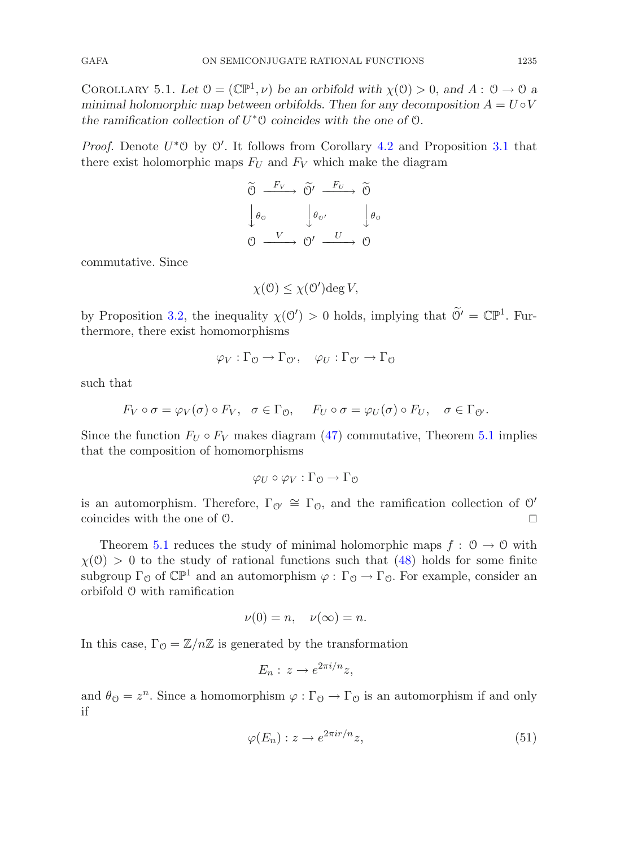<span id="page-18-0"></span>COROLLARY 5.1. Let  $\mathcal{O} = (\mathbb{CP}^1, \nu)$  be an orbifold with  $\chi(\mathcal{O}) > 0$ , and  $A: \mathcal{O} \to \mathcal{O}$  a *minimal holomorphic map between orbifolds. Then for any decomposition*  $A = U \circ V$ *the ramification collection of* U∗O *coincides with the one of* O*.*

*Proof.* Denote  $U^* \mathcal{O}$  by  $\mathcal{O}'$ . It follows from Corollary [4.2](#page-14-3) and Proposition [3.1](#page-9-4) that there exist holomorphic maps  $F_U$  and  $F_V$  which make the diagram

$$
\begin{array}{ccc}\n\widetilde{\Theta} & \xrightarrow{F_V} & \widetilde{\Theta}' & \xrightarrow{F_U} & \widetilde{\Theta} \\
\downarrow \theta_0 & \downarrow \theta_0' & \downarrow \theta_0 \\
\Theta & \xrightarrow{V} & \Theta' & \xrightarrow{U} & \Theta\n\end{array}
$$

commutative. Since

$$
\chi(\mathcal{O}) \leq \chi(\mathcal{O}') \text{deg } V,
$$

by Proposition [3.2,](#page-11-2) the inequality  $\chi(\mathcal{O}') > 0$  holds, implying that  $\mathcal{O}' = \mathbb{CP}^1$ . Furthermore, there exist homomorphisms

$$
\varphi_V : \Gamma_0 \to \Gamma_{0'}, \quad \varphi_U : \Gamma_{0'} \to \Gamma_0
$$

such that

$$
F_V \circ \sigma = \varphi_V(\sigma) \circ F_V, \quad \sigma \in \Gamma_0, \quad F_U \circ \sigma = \varphi_U(\sigma) \circ F_U, \quad \sigma \in \Gamma_0.
$$

Since the function  $F_U \circ F_V$  makes diagram [\(47\)](#page-17-2) commutative, Theorem [5.1](#page-16-0) implies that the composition of homomorphisms

$$
\varphi_U \circ \varphi_V : \Gamma_0 \to \Gamma_0
$$

is an automorphism. Therefore,  $\Gamma_{\mathcal{O}'} \cong \Gamma_{\mathcal{O}}$ , and the ramification collection of  $\mathcal{O}'$ coincides with the one of O.

Theorem [5.1](#page-16-0) reduces the study of minimal holomorphic maps  $f: \mathcal{O} \to \mathcal{O}$  with  $\chi(\mathcal{O}) > 0$  to the study of rational functions such that [\(48\)](#page-17-0) holds for some finite subgroup  $\Gamma_0$  of  $\mathbb{CP}^1$  and an automorphism  $\varphi : \Gamma_0 \to \Gamma_0$ . For example, consider an orbifold O with ramification

$$
\nu(0) = n, \quad \nu(\infty) = n.
$$

In this case,  $\Gamma_{\mathcal{O}} = \mathbb{Z}/n\mathbb{Z}$  is generated by the transformation

$$
E_n: z \to e^{2\pi i/n}z,
$$

and  $\theta_{\mathcal{O}} = z^n$ . Since a homomorphism  $\varphi : \Gamma_{\mathcal{O}} \to \Gamma_{\mathcal{O}}$  is an automorphism if and only if

$$
\varphi(E_n) : z \to e^{2\pi i r/n} z,\tag{51}
$$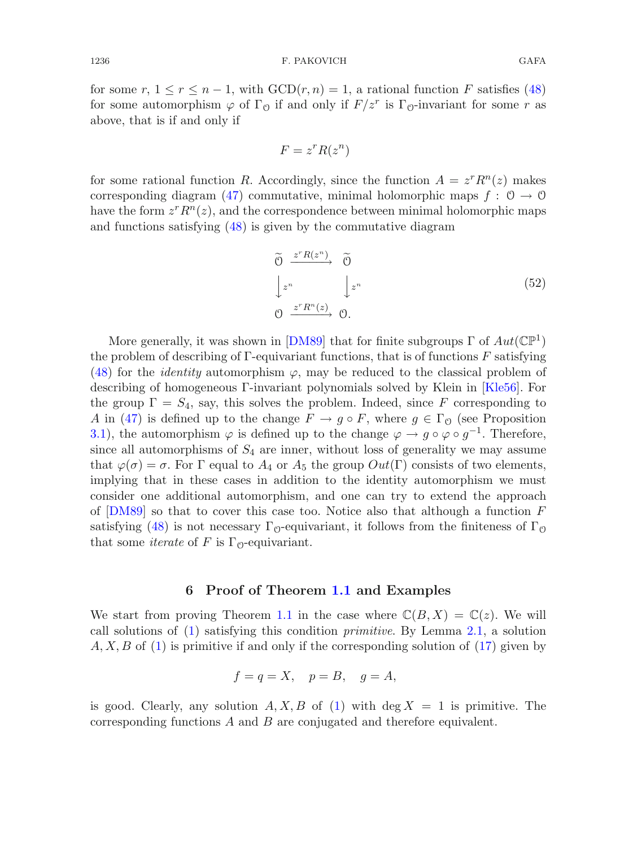for some r,  $1 \le r \le n-1$ , with  $GCD(r,n) = 1$ , a rational function F satisfies [\(48\)](#page-17-0) for some automorphism  $\varphi$  of  $\Gamma_0$  if and only if  $F/z^r$  is  $\Gamma_0$ -invariant for some r as above, that is if and only if

$$
F = z^r R(z^n)
$$

for some rational function R. Accordingly, since the function  $A = z^r R^n(z)$  makes corresponding diagram [\(47\)](#page-17-2) commutative, minimal holomorphic maps  $f: \mathcal{O} \to \mathcal{O}$ have the form  $z^r R^n(z)$ , and the correspondence between minimal holomorphic maps and functions satisfying [\(48\)](#page-17-0) is given by the commutative diagram

<span id="page-19-1"></span>
$$
\begin{aligned}\n\widetilde{\Theta} & \xrightarrow{z^n R(z^n)} \widetilde{\Theta} \\
\downarrow z^n & \downarrow z^n \\
\Theta & \xrightarrow{z^n R^n(z)} \Theta.\n\end{aligned} \tag{52}
$$

More generally, it was shown in [\[DM89\]](#page-25-3) that for finite subgroups  $\Gamma$  of  $Aut(\mathbb{CP}^1)$ the problem of describing of  $\Gamma$ -equivariant functions, that is of functions  $F$  satisfying [\(48\)](#page-17-0) for the *identity* automorphism  $\varphi$ , may be reduced to the classical problem of describing of homogeneous Γ-invariant polynomials solved by Klein in [\[Kle56](#page-26-9)]. For the group  $\Gamma = S_4$ , say, this solves the problem. Indeed, since F corresponding to A in [\(47\)](#page-17-2) is defined up to the change  $F \to g \circ F$ , where  $g \in \Gamma_0$  (see Proposition [3.1\)](#page-9-4), the automorphism  $\varphi$  is defined up to the change  $\varphi \to g \circ \varphi \circ g^{-1}$ . Therefore, since all automorphisms of  $S_4$  are inner, without loss of generality we may assume that  $\varphi(\sigma) = \sigma$ . For  $\Gamma$  equal to  $A_4$  or  $A_5$  the group  $Out(\Gamma)$  consists of two elements, implying that in these cases in addition to the identity automorphism we must consider one additional automorphism, and one can try to extend the approach of  $[{\rm DM}89]$  so that to cover this case too. Notice also that although a function F satisfying [\(48\)](#page-17-0) is not necessary  $\Gamma_{\Omega}$ -equivariant, it follows from the finiteness of  $\Gamma_{\Omega}$ that some *iterate* of F is  $\Gamma_{\Omega}$ -equivariant.

#### **6 Proof of Theorem [1.1](#page-4-1) and Examples**

We start from proving Theorem [1.1](#page-4-1) in the case where  $\mathbb{C}(B,X) = \mathbb{C}(z)$ . We will call solutions of [\(1\)](#page-0-0) satisfying this condition *primitive*. By Lemma [2.1,](#page-8-1) a solution  $A, X, B$  of [\(1\)](#page-0-0) is primitive if and only if the corresponding solution of [\(17\)](#page-5-1) given by

$$
f = q = X, \quad p = B, \quad g = A,
$$

<span id="page-19-0"></span>is good. Clearly, any solution  $A, X, B$  of [\(1\)](#page-0-0) with deg  $X = 1$  is primitive. The corresponding functions A and B are conjugated and therefore equivalent.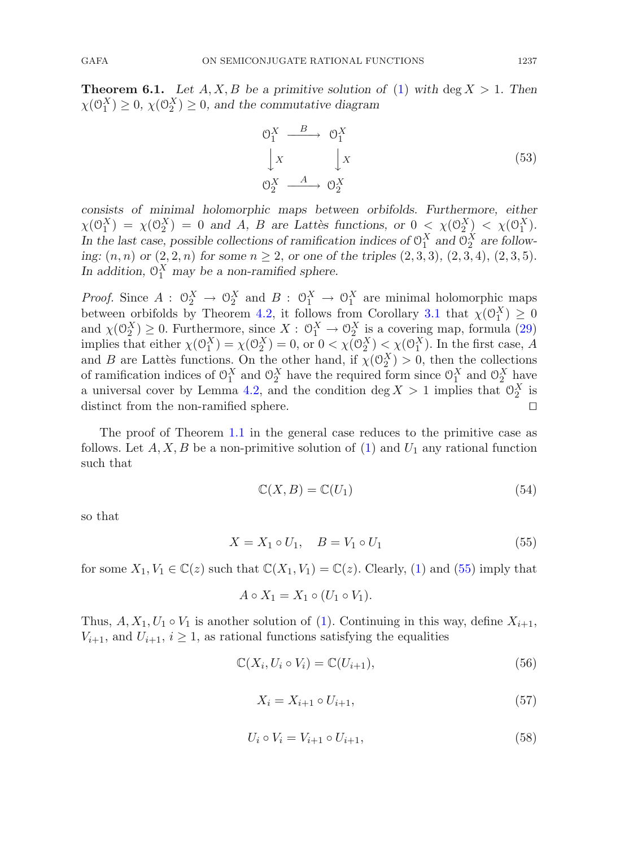**Theorem 6.1.** *Let*  $A, X, B$  *be a primitive solution of* [\(1\)](#page-0-0) *with* deg  $X > 1$ *. Then*  $\chi(\mathcal{O}_1^X) \geq 0$ ,  $\chi(\mathcal{O}_2^X) \geq 0$ , and the commutative diagram

$$
\begin{array}{ccc}\n\mathbf{O}_1^X & \xrightarrow{B} & \mathbf{O}_1^X \\
\downarrow X & & \downarrow X \\
\mathbf{O}_2^X & \xrightarrow{A} & \mathbf{O}_2^X\n\end{array} \tag{53}
$$

*consists of minimal holomorphic maps between orbifolds. Furthermore, either*  $\chi(\mathbb{O}_1^X) = \chi(\mathbb{O}_2^X) = 0$  and A, B are Lattes functions, or  $0 \leq \chi(\mathbb{O}_2^X) \leq \chi(\mathbb{O}_1^X)$ . In the last case, possible collections of ramification indices of  $O_1^X$  and  $O_2^X$  are follow*ing:*  $(n, n)$  *or*  $(2, 2, n)$  *for some*  $n \ge 2$ *, or one of the triples*  $(2, 3, 3)$ *,*  $(2, 3, 4)$ *,*  $(2, 3, 5)$ *.* In addition,  $O_1^X$  may be a non-ramified sphere.

*Proof.* Since  $A: \mathbb{O}_2^X \to \mathbb{O}_2^X$  and  $B: \mathbb{O}_1^X \to \mathbb{O}_1^X$  are minimal holomorphic maps between orbifolds by Theorem [4.2,](#page-15-1) it follows from Corollary [3.1](#page-12-3) that  $\chi(\mathcal{O}_1^X) \geq 0$ and  $\chi(\mathbb{O}_2^X) \geq 0$ . Furthermore, since  $X: \mathbb{O}_1^X \to \mathbb{O}_2^X$  is a covering map, formula [\(29\)](#page-11-3) implies that either  $\chi(\mathcal{O}_1^X) = \chi(\mathcal{O}_2^X) = 0$ , or  $0 < \chi(\mathcal{O}_2^X) < \chi(\mathcal{O}_1^X)$ . In the first case, A and B are Lattes functions. On the other hand, if  $\chi(\mathcal{O}_2^X) > 0$ , then the collections of ramification indices of  $\mathcal{O}_1^X$  and  $\mathcal{O}_2^X$  have the required form since  $\mathcal{O}_1^X$  and  $\mathcal{O}_2^X$  have a universal cover by Lemma [4.2,](#page-15-2) and the condition  $\deg X > 1$  implies that  $\mathcal{O}_2^X$  is distinct from the non-ramified sphere.

The proof of Theorem [1.1](#page-4-1) in the general case reduces to the primitive case as follows. Let  $A, X, B$  be a non-primitive solution of [\(1\)](#page-0-0) and  $U_1$  any rational function such that

$$
\mathbb{C}(X,B) = \mathbb{C}(U_1) \tag{54}
$$

so that

$$
X = X_1 \circ U_1, \quad B = V_1 \circ U_1 \tag{55}
$$

<span id="page-20-0"></span>for some  $X_1, V_1 \in \mathbb{C}(z)$  such that  $\mathbb{C}(X_1, V_1) = \mathbb{C}(z)$ . Clearly, [\(1\)](#page-0-0) and [\(55\)](#page-20-0) imply that

$$
A \circ X_1 = X_1 \circ (U_1 \circ V_1).
$$

Thus,  $A, X_1, U_1 \circ V_1$  is another solution of [\(1\)](#page-0-0). Continuing in this way, define  $X_{i+1}$ ,  $V_{i+1}$ , and  $U_{i+1}$ ,  $i \geq 1$ , as rational functions satisfying the equalities

$$
\mathbb{C}(X_i, U_i \circ V_i) = \mathbb{C}(U_{i+1}),\tag{56}
$$

$$
X_i = X_{i+1} \circ U_{i+1},\tag{57}
$$

$$
U_i \circ V_i = V_{i+1} \circ U_{i+1},\tag{58}
$$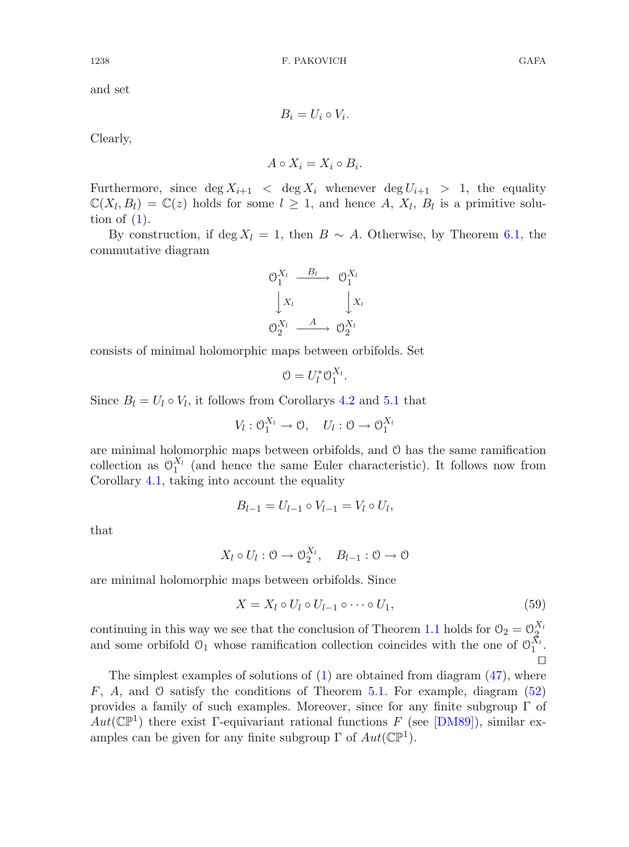and set

$$
B_i = U_i \circ V_i.
$$

Clearly,

$$
A \circ X_i = X_i \circ B_i.
$$

Furthermore, since  $\deg X_{i+1} < \deg X_i$  whenever  $\deg U_{i+1} > 1$ , the equality  $\mathbb{C}(X_l, B_l) = \mathbb{C}(z)$  holds for some  $l \geq 1$ , and hence A,  $X_l$ ,  $B_l$  is a primitive solution of  $(1)$ .

By construction, if deg  $X_l = 1$ , then  $B \sim A$ . Otherwise, by Theorem [6.1,](#page-19-0) the commutative diagram



consists of minimal holomorphic maps between orbifolds. Set

$$
0=U_l^*\mathfrak{O}_1^{X_l}.
$$

Since  $B_l = U_l \circ V_l$ , it follows from Corollarys [4.2](#page-14-3) and [5.1](#page-18-0) that

 $V_l: \mathcal{O}_1^{X_l} \to \mathcal{O}, \quad U_l: \mathcal{O} \to \mathcal{O}_1^{X_l}$ 

are minimal holomorphic maps between orbifolds, and O has the same ramification collection as  $\mathcal{O}_1^{X_l}$  (and hence the same Euler characteristic). It follows now from Corollary [4.1,](#page-14-4) taking into account the equality

$$
B_{l-1} = U_{l-1} \circ V_{l-1} = V_l \circ U_l,
$$

that

$$
X_l \circ U_l : 0 \to 0_2^{X_l}, \quad B_{l-1} : 0 \to 0
$$

are minimal holomorphic maps between orbifolds. Since

$$
X = X_l \circ U_l \circ U_{l-1} \circ \cdots \circ U_1,\tag{59}
$$

continuing in this way we see that the conclusion of Theorem [1.1](#page-4-1) holds for  $\mathcal{O}_2 = \mathcal{O}_2^{X_i}$ and some orbifold  $\mathcal{O}_1$  whose ramification collection coincides with the one of  $\mathcal{O}_1^{X_l}$ .  $\Box$ 

The simplest examples of solutions of  $(1)$  are obtained from diagram  $(47)$ , where  $F, A$ , and  $\mathcal O$  satisfy the conditions of Theorem [5.1.](#page-16-0) For example, diagram [\(52\)](#page-19-1) provides a family of such examples. Moreover, since for any finite subgroup  $\Gamma$  of  $Aut(\mathbb{CP}^1)$  there exist Γ-equivariant rational functions F (see [\[DM89\]](#page-25-3)), similar examples can be given for any finite subgroup  $\Gamma$  of  $Aut(\mathbb{CP}^1)$ .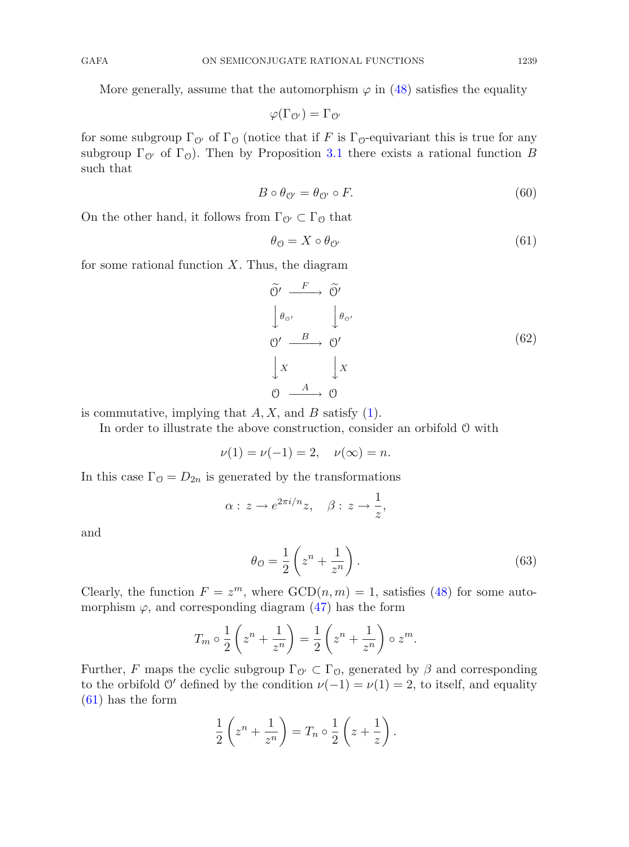More generally, assume that the automorphism  $\varphi$  in [\(48\)](#page-17-0) satisfies the equality

 $\varphi(\Gamma_{\mathcal{O}'})=\Gamma_{\mathcal{O}'}$ 

for some subgroup  $\Gamma_{\mathcal{O}'}$  of  $\Gamma_{\mathcal{O}}$  (notice that if F is  $\Gamma_{\mathcal{O}}$ -equivariant this is true for any subgroup  $\Gamma_{\mathcal{O}'}$  of  $\Gamma_{\mathcal{O}}$ ). Then by Proposition [3.1](#page-9-4) there exists a rational function B such that

$$
B \circ \theta_{\mathcal{O}'} = \theta_{\mathcal{O}'} \circ F. \tag{60}
$$

On the other hand, it follows from  $\Gamma_{\mathcal{O}'} \subset \Gamma_{\mathcal{O}}$  that

<span id="page-22-0"></span>
$$
\theta_{\mathcal{O}} = X \circ \theta_{\mathcal{O}'} \tag{61}
$$

for some rational function  $X$ . Thus, the diagram

<span id="page-22-1"></span>
$$
\begin{aligned}\n\widetilde{\Theta'} & \xrightarrow{F} \widetilde{\Theta'} \\
\downarrow \theta_{\Theta'} & \downarrow \theta_{\Theta'} \\
\Theta' & \xrightarrow{B} \Theta' \\
\downarrow x & \downarrow x \\
\Theta & \xrightarrow{A} \Theta\n\end{aligned} \tag{62}
$$

is commutative, implying that  $A, X$ , and  $B$  satisfy  $(1)$ .

In order to illustrate the above construction, consider an orbifold O with

$$
\nu(1) = \nu(-1) = 2, \quad \nu(\infty) = n.
$$

In this case  $\Gamma_0 = D_{2n}$  is generated by the transformations

$$
\alpha: z \to e^{2\pi i/n}z, \quad \beta: z \to \frac{1}{z},
$$

and

$$
\theta_{\mathcal{O}} = \frac{1}{2} \left( z^n + \frac{1}{z^n} \right). \tag{63}
$$

Clearly, the function  $F = z^m$ , where  $GCD(n, m) = 1$ , satisfies [\(48\)](#page-17-0) for some automorphism  $\varphi$ , and corresponding diagram [\(47\)](#page-17-2) has the form

$$
T_m \circ \frac{1}{2} \left( z^n + \frac{1}{z^n} \right) = \frac{1}{2} \left( z^n + \frac{1}{z^n} \right) \circ z^m.
$$

Further, F maps the cyclic subgroup  $\Gamma_{\mathcal{O}'} \subset \Gamma_{\mathcal{O}}$ , generated by  $\beta$  and corresponding to the orbifold O' defined by the condition  $\nu(-1) = \nu(1) = 2$ , to itself, and equality [\(61\)](#page-22-0) has the form

$$
\frac{1}{2}\left(z^n+\frac{1}{z^n}\right)=T_n\circ\frac{1}{2}\left(z+\frac{1}{z}\right).
$$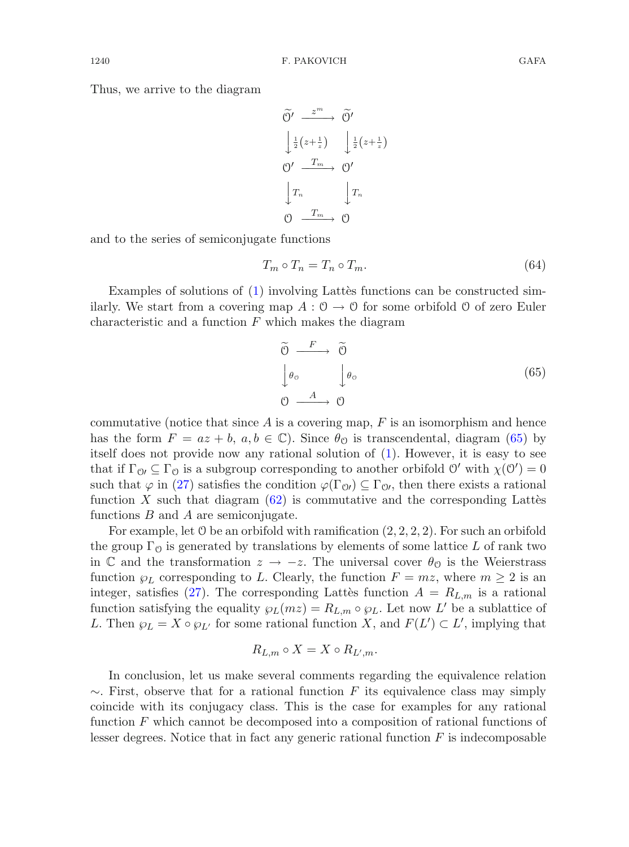Thus, we arrive to the diagram

$$
\begin{aligned}\n\widetilde{O}' &\xrightarrow{z^m} \widetilde{O}' \\
\downarrow_{\frac{1}{2}}(z+\frac{1}{z}) &\downarrow_{\frac{1}{2}}(z+\frac{1}{z}) \\
O' &\xrightarrow{T_m} O' \\
\downarrow T_n &\downarrow T_n \\
O &\xrightarrow{T_m} O\n\end{aligned}
$$

and to the series of semiconjugate functions

$$
T_m \circ T_n = T_n \circ T_m. \tag{64}
$$

Examples of solutions of  $(1)$  involving Latter functions can be constructed similarly. We start from a covering map  $A: \mathcal{O} \to \mathcal{O}$  for some orbifold  $\mathcal{O}$  of zero Euler characteristic and a function  $F$  which makes the diagram

<span id="page-23-0"></span>
$$
\begin{array}{ccc}\n\widetilde{O} & \xrightarrow{F} & \widetilde{O} \\
\downarrow \theta_{\circ} & \downarrow \theta_{\circ} \\
\odot & \xrightarrow{A} & \odot\n\end{array} \tag{65}
$$

commutative (notice that since  $A$  is a covering map,  $F$  is an isomorphism and hence has the form  $F = az + b$ ,  $a, b \in \mathbb{C}$ ). Since  $\theta_{\mathcal{O}}$  is transcendental, diagram [\(65\)](#page-23-0) by itself does not provide now any rational solution of [\(1\)](#page-0-0). However, it is easy to see that if  $\Gamma_{\mathcal{O}} \subseteq \Gamma_{\mathcal{O}}$  is a subgroup corresponding to another orbifold  $\mathcal{O}'$  with  $\chi(\mathcal{O}') = 0$ such that  $\varphi$  in [\(27\)](#page-9-1) satisfies the condition  $\varphi(\Gamma_{0l}) \subseteq \Gamma_{0l}$ , then there exists a rational function X such that diagram  $(62)$  is commutative and the corresponding Lattes functions  $B$  and  $A$  are semiconjugate.

For example, let  $\emptyset$  be an orbifold with ramification  $(2, 2, 2, 2)$ . For such an orbifold the group  $\Gamma_{\mathcal{O}}$  is generated by translations by elements of some lattice L of rank two in C and the transformation  $z \to -z$ . The universal cover  $\theta_{\mathcal{O}}$  is the Weierstrass function  $\wp_L$  corresponding to L. Clearly, the function  $F = mz$ , where  $m \geq 2$  is an integer, satisfies [\(27\)](#page-9-1). The corresponding Latter function  $A = R_{L,m}$  is a rational function satisfying the equality  $\wp_L(mz) = R_{L,m} \circ \wp_L$ . Let now L' be a sublattice of L. Then  $\wp_L = X \circ \wp_{L'}$  for some rational function X, and  $F(L') \subset L'$ , implying that

$$
R_{L,m} \circ X = X \circ R_{L',m}.
$$

In conclusion, let us make several comments regarding the equivalence relation  $\sim$ . First, observe that for a rational function F its equivalence class may simply coincide with its conjugacy class. This is the case for examples for any rational function F which cannot be decomposed into a composition of rational functions of lesser degrees. Notice that in fact any generic rational function  $F$  is indecomposable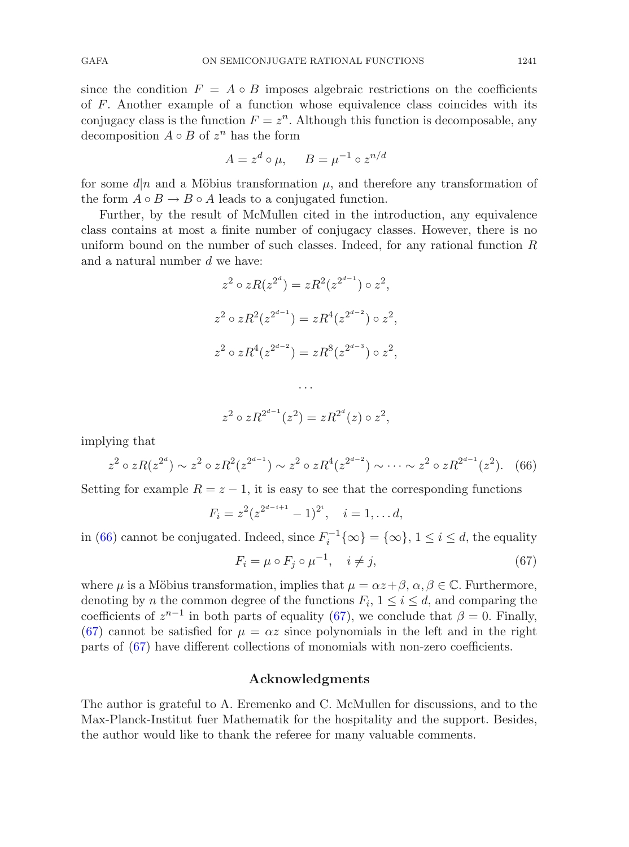since the condition  $F = A \circ B$  imposes algebraic restrictions on the coefficients of F. Another example of a function whose equivalence class coincides with its conjugacy class is the function  $F = z<sup>n</sup>$ . Although this function is decomposable, any decomposition  $A \circ B$  of  $z^n$  has the form

$$
A = z^d \circ \mu, \quad B = \mu^{-1} \circ z^{n/d}
$$

for some  $d|n$  and a Möbius transformation  $\mu$ , and therefore any transformation of the form  $A \circ B \to B \circ A$  leads to a conjugated function.

Further, by the result of McMullen cited in the introduction, any equivalence class contains at most a finite number of conjugacy classes. However, there is no uniform bound on the number of such classes. Indeed, for any rational function  $R$ and a natural number d we have:

$$
z^{2} \circ zR(z^{2^{d}}) = zR^{2}(z^{2^{d-1}}) \circ z^{2},
$$
  
\n
$$
z^{2} \circ zR^{2}(z^{2^{d-1}}) = zR^{4}(z^{2^{d-2}}) \circ z^{2},
$$
  
\n
$$
z^{2} \circ zR^{4}(z^{2^{d-2}}) = zR^{8}(z^{2^{d-3}}) \circ z^{2},
$$
  
\n...

$$
z^2 \circ zR^{2^{d-1}}(z^2) = zR^{2^d}(z) \circ z^2,
$$

<span id="page-24-0"></span>implying that

$$
z^2 \circ zR(z^{2^d}) \sim z^2 \circ zR^2(z^{2^{d-1}}) \sim z^2 \circ zR^4(z^{2^{d-2}}) \sim \cdots \sim z^2 \circ zR^{2^{d-1}}(z^2). \tag{66}
$$

Setting for example  $R = z - 1$ , it is easy to see that the corresponding functions

<span id="page-24-1"></span>
$$
F_i = z^2 (z^{2^{d-i+1}} - 1)^{2^i}, \quad i = 1, \dots d,
$$

in [\(66\)](#page-24-0) cannot be conjugated. Indeed, since  $F_i^{-1}\{\infty\} = {\infty}$ ,  $1 \le i \le d$ , the equality

$$
F_i = \mu \circ F_j \circ \mu^{-1}, \quad i \neq j,
$$
\n<sup>(67)</sup>

where  $\mu$  is a Möbius transformation, implies that  $\mu = \alpha z + \beta$ ,  $\alpha, \beta \in \mathbb{C}$ . Furthermore, denoting by n the common degree of the functions  $F_i$ ,  $1 \leq i \leq d$ , and comparing the coefficients of  $z^{n-1}$  in both parts of equality [\(67\)](#page-24-1), we conclude that  $\beta = 0$ . Finally, [\(67\)](#page-24-1) cannot be satisfied for  $\mu = \alpha z$  since polynomials in the left and in the right parts of [\(67\)](#page-24-1) have different collections of monomials with non-zero coefficients.

### **Acknowledgments**

The author is grateful to A. Eremenko and C. McMullen for discussions, and to the Max-Planck-Institut fuer Mathematik for the hospitality and the support. Besides, the author would like to thank the referee for many valuable comments.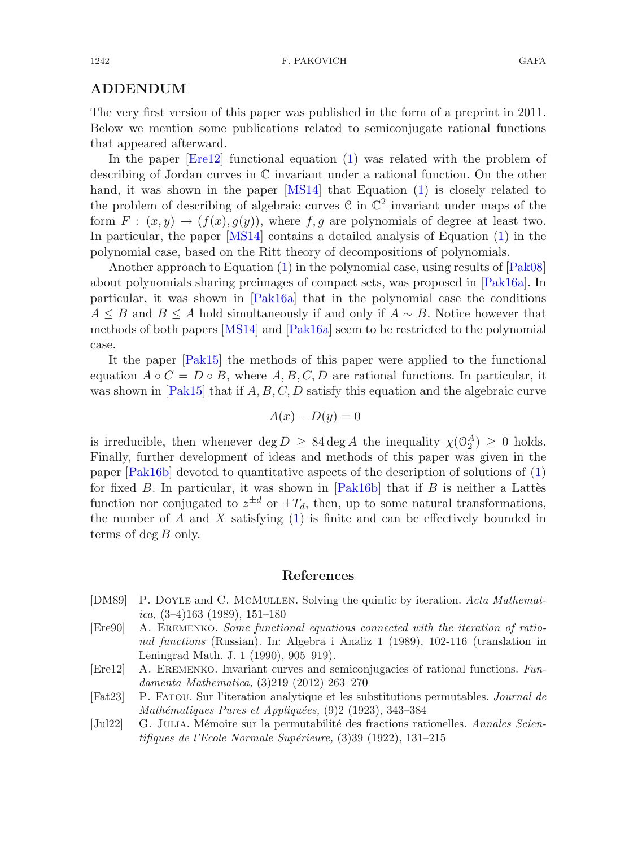# **ADDENDUM**

The very first version of this paper was published in the form of a preprint in 2011. Below we mention some publications related to semiconjugate rational functions that appeared afterward.

In the paper [\[Ere12\]](#page-25-4) functional equation [\(1\)](#page-0-0) was related with the problem of describing of Jordan curves in C invariant under a rational function. On the other hand, it was shown in the paper [\[MS14](#page-26-10)] that Equation [\(1\)](#page-0-0) is closely related to the problem of describing of algebraic curves C in  $\mathbb{C}^2$  invariant under maps of the form  $F : (x, y) \rightarrow (f(x), g(y))$ , where f, g are polynomials of degree at least two. In particular, the paper [\[MS14](#page-26-10)] contains a detailed analysis of Equation [\(1\)](#page-0-0) in the polynomial case, based on the Ritt theory of decompositions of polynomials.

Another approach to Equation [\(1\)](#page-0-0) in the polynomial case, using results of [\[Pak08](#page-26-11)] about polynomials sharing preimages of compact sets, was proposed in [\[Pak16a\]](#page-26-12). In particular, it was shown in [\[Pak16a](#page-26-12)] that in the polynomial case the conditions  $A \leq B$  and  $B \leq A$  hold simultaneously if and only if  $A \sim B$ . Notice however that methods of both papers [\[MS14](#page-26-10)] and [\[Pak16a](#page-26-12)] seem to be restricted to the polynomial case.

It the paper [\[Pak15](#page-26-13)] the methods of this paper were applied to the functional equation  $A \circ C = D \circ B$ , where  $A, B, C, D$  are rational functions. In particular, it was shown in  $[Plak15]$  that if  $A, B, C, D$  satisfy this equation and the algebraic curve

$$
A(x) - D(y) = 0
$$

is irreducible, then whenever deg  $D \geq 84 \deg A$  the inequality  $\chi(\mathcal{O}_2^A) \geq 0$  holds. Finally, further development of ideas and methods of this paper was given in the paper [\[Pak16b](#page-26-14)] devoted to quantitative aspects of the description of solutions of [\(1\)](#page-0-0) for fixed  $B$ . In particular, it was shown in [\[Pak16b\]](#page-26-14) that if  $B$  is neither a Lattes function nor conjugated to  $z^{\pm d}$  or  $\pm T_d$ , then, up to some natural transformations, the number of  $A$  and  $X$  satisfying  $(1)$  is finite and can be effectively bounded in terms of  $\deg B$  only.

#### **References**

- <span id="page-25-3"></span>[DM89] P. Doyle and C. McMullen. Solving the quintic by iteration. *Acta Mathematica,* (3–4)163 (1989), 151–180
- <span id="page-25-2"></span>[Ere90] A. Eremenko. *Some functional equations connected with the iteration of rational functions* (Russian). In: Algebra i Analiz 1 (1989), 102-116 (translation in Leningrad Math. J. 1 (1990), 905–919).
- <span id="page-25-4"></span>[Ere12] A. Eremenko. Invariant curves and semiconjugacies of rational functions. *Fundamenta Mathematica,* (3)219 (2012) 263–270
- <span id="page-25-0"></span>[Fat23] P. Fatou. Sur l'iteration analytique et les substitutions permutables. *Journal de Math´ematiques Pures et Appliqu´ees,* (9)2 (1923), 343–384
- <span id="page-25-1"></span>[Jul22] G. Julia. M´emoire sur la permutabilit´e des fractions rationelles. *Annales Scientifiques de l'Ecole Normale Sup´erieure,* (3)39 (1922), 131–215